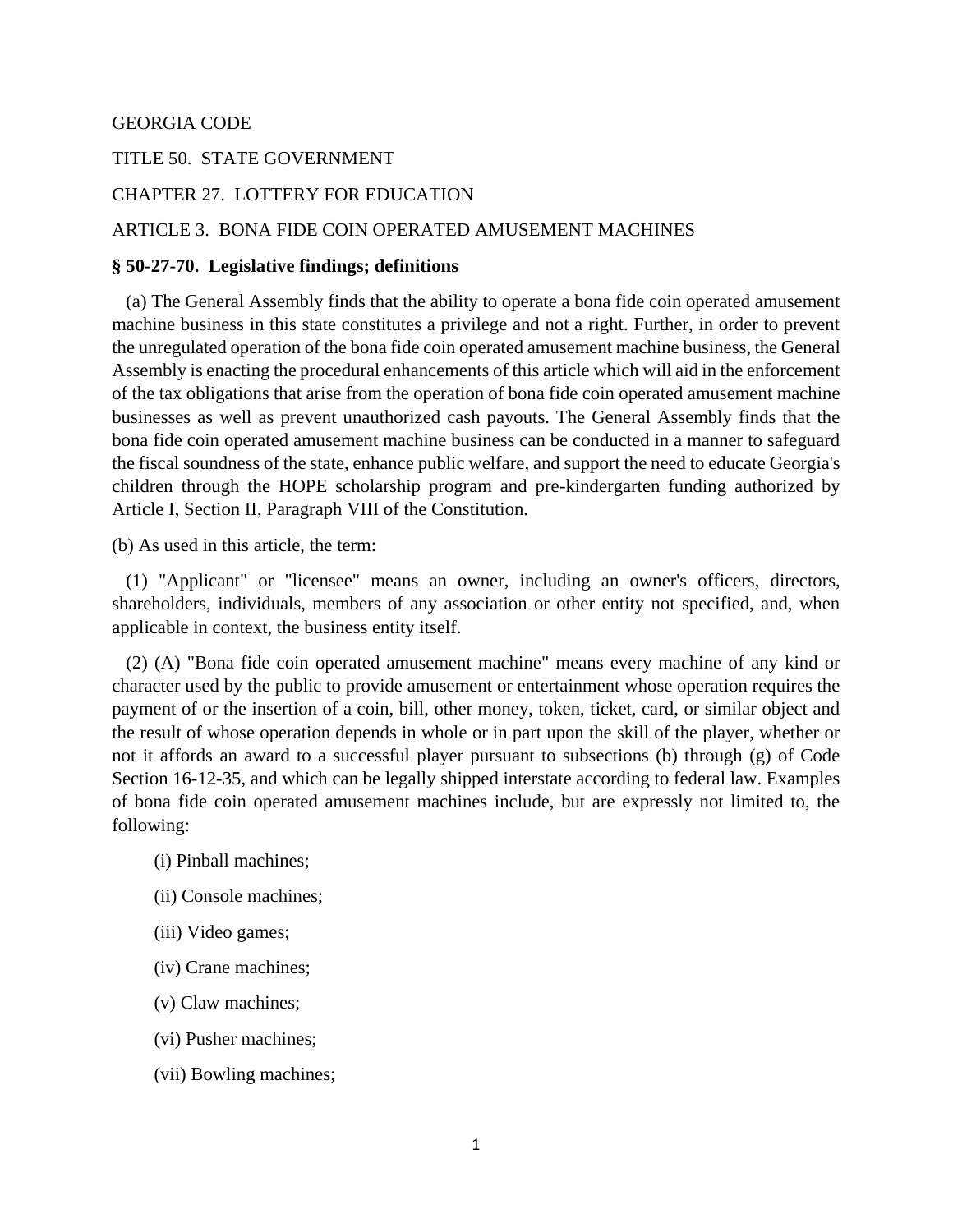#### GEORGIA CODE

### TITLE 50. STATE GOVERNMENT

#### CHAPTER 27. LOTTERY FOR EDUCATION

#### ARTICLE 3. BONA FIDE COIN OPERATED AMUSEMENT MACHINES

#### **§ 50-27-70. Legislative findings; definitions**

 (a) The General Assembly finds that the ability to operate a bona fide coin operated amusement machine business in this state constitutes a privilege and not a right. Further, in order to prevent the unregulated operation of the bona fide coin operated amusement machine business, the General Assembly is enacting the procedural enhancements of this article which will aid in the enforcement of the tax obligations that arise from the operation of bona fide coin operated amusement machine businesses as well as prevent unauthorized cash payouts. The General Assembly finds that the bona fide coin operated amusement machine business can be conducted in a manner to safeguard the fiscal soundness of the state, enhance public welfare, and support the need to educate Georgia's children through the HOPE scholarship program and pre-kindergarten funding authorized by Article I, Section II, Paragraph VIII of the Constitution.

(b) As used in this article, the term:

 (1) "Applicant" or "licensee" means an owner, including an owner's officers, directors, shareholders, individuals, members of any association or other entity not specified, and, when applicable in context, the business entity itself.

 (2) (A) "Bona fide coin operated amusement machine" means every machine of any kind or character used by the public to provide amusement or entertainment whose operation requires the payment of or the insertion of a coin, bill, other money, token, ticket, card, or similar object and the result of whose operation depends in whole or in part upon the skill of the player, whether or not it affords an award to a successful player pursuant to subsections (b) through (g) of Code Section 16-12-35, and which can be legally shipped interstate according to federal law. Examples of bona fide coin operated amusement machines include, but are expressly not limited to, the following:

- (i) Pinball machines;
- (ii) Console machines;
- (iii) Video games;
- (iv) Crane machines;
- (v) Claw machines;
- (vi) Pusher machines;
- (vii) Bowling machines;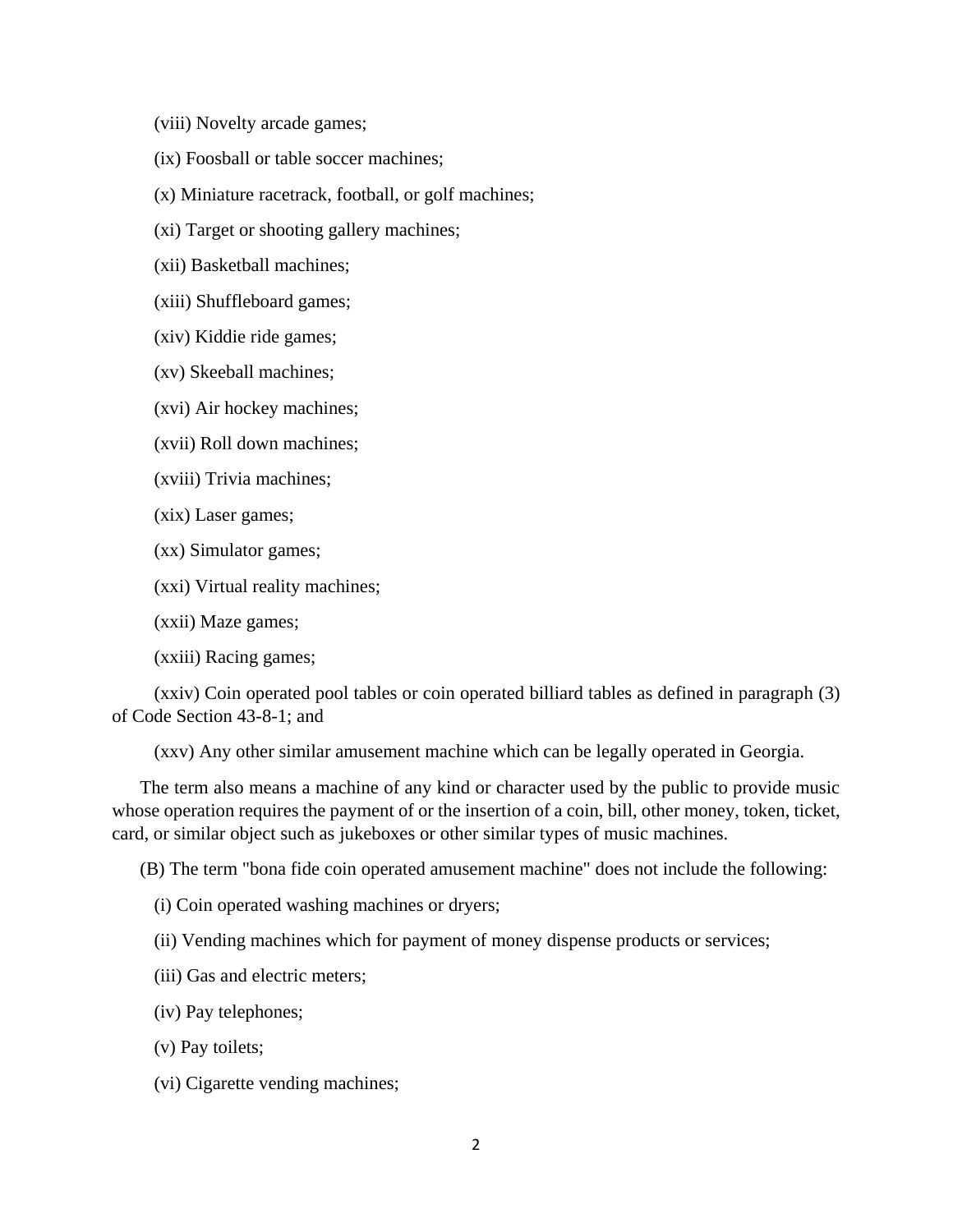(viii) Novelty arcade games;

(ix) Foosball or table soccer machines;

(x) Miniature racetrack, football, or golf machines;

(xi) Target or shooting gallery machines;

(xii) Basketball machines;

(xiii) Shuffleboard games;

(xiv) Kiddie ride games;

(xv) Skeeball machines;

(xvi) Air hockey machines;

(xvii) Roll down machines;

(xviii) Trivia machines;

(xix) Laser games;

(xx) Simulator games;

(xxi) Virtual reality machines;

(xxii) Maze games;

(xxiii) Racing games;

 (xxiv) Coin operated pool tables or coin operated billiard tables as defined in paragraph (3) of Code Section 43-8-1; and

(xxv) Any other similar amusement machine which can be legally operated in Georgia.

 The term also means a machine of any kind or character used by the public to provide music whose operation requires the payment of or the insertion of a coin, bill, other money, token, ticket, card, or similar object such as jukeboxes or other similar types of music machines.

(B) The term "bona fide coin operated amusement machine" does not include the following:

(i) Coin operated washing machines or dryers;

(ii) Vending machines which for payment of money dispense products or services;

(iii) Gas and electric meters;

(iv) Pay telephones;

(v) Pay toilets;

(vi) Cigarette vending machines;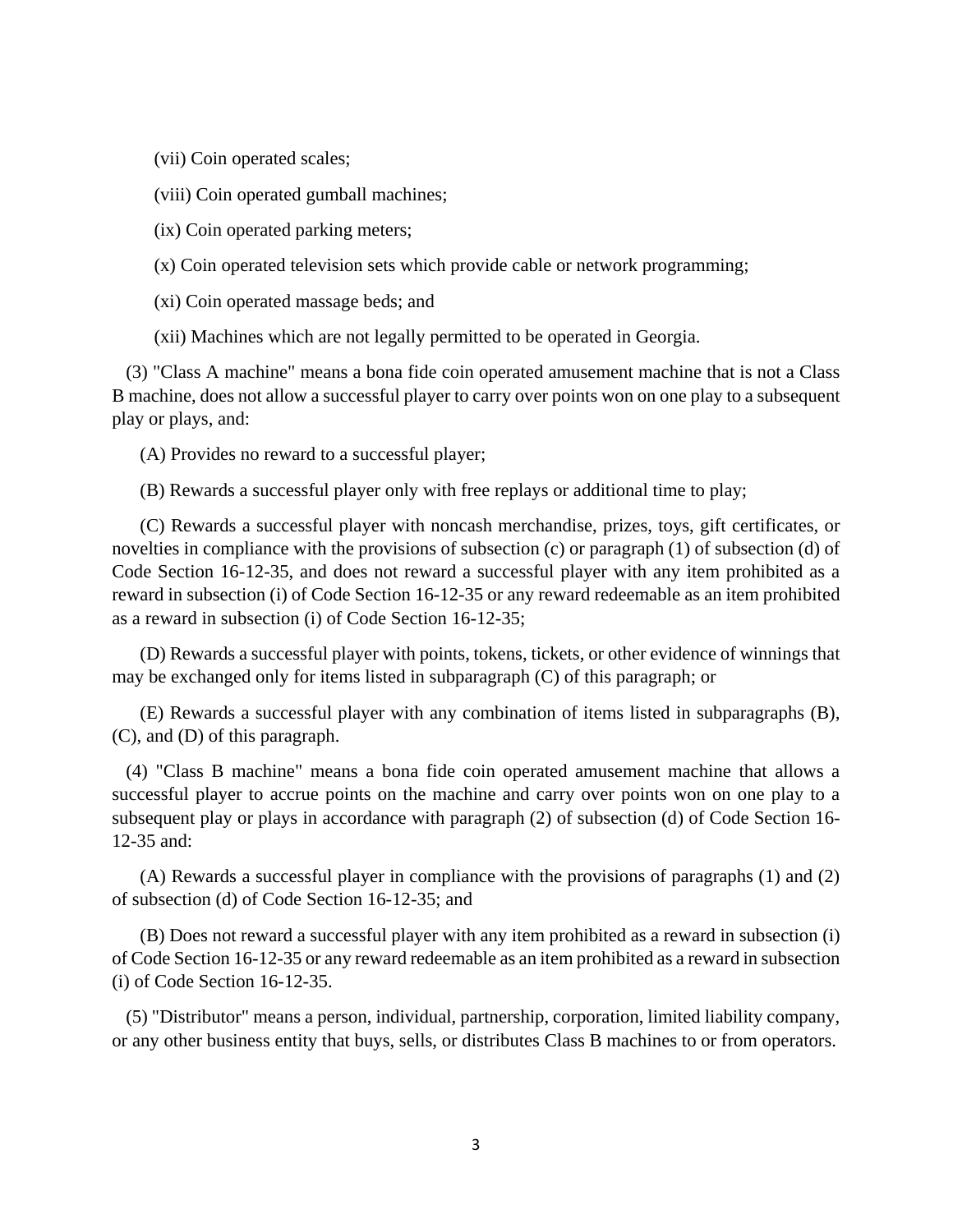(vii) Coin operated scales;

(viii) Coin operated gumball machines;

(ix) Coin operated parking meters;

(x) Coin operated television sets which provide cable or network programming;

(xi) Coin operated massage beds; and

(xii) Machines which are not legally permitted to be operated in Georgia.

 (3) "Class A machine" means a bona fide coin operated amusement machine that is not a Class B machine, does not allow a successful player to carry over points won on one play to a subsequent play or plays, and:

(A) Provides no reward to a successful player;

(B) Rewards a successful player only with free replays or additional time to play;

 (C) Rewards a successful player with noncash merchandise, prizes, toys, gift certificates, or novelties in compliance with the provisions of subsection (c) or paragraph (1) of subsection (d) of Code Section 16-12-35, and does not reward a successful player with any item prohibited as a reward in subsection (i) of Code Section 16-12-35 or any reward redeemable as an item prohibited as a reward in subsection (i) of Code Section 16-12-35;

 (D) Rewards a successful player with points, tokens, tickets, or other evidence of winnings that may be exchanged only for items listed in subparagraph (C) of this paragraph; or

 (E) Rewards a successful player with any combination of items listed in subparagraphs (B), (C), and (D) of this paragraph.

 (4) "Class B machine" means a bona fide coin operated amusement machine that allows a successful player to accrue points on the machine and carry over points won on one play to a subsequent play or plays in accordance with paragraph (2) of subsection (d) of Code Section 16- 12-35 and:

 (A) Rewards a successful player in compliance with the provisions of paragraphs (1) and (2) of subsection (d) of Code Section 16-12-35; and

 (B) Does not reward a successful player with any item prohibited as a reward in subsection (i) of Code Section 16-12-35 or any reward redeemable as an item prohibited as a reward in subsection (i) of Code Section 16-12-35.

 (5) "Distributor" means a person, individual, partnership, corporation, limited liability company, or any other business entity that buys, sells, or distributes Class B machines to or from operators.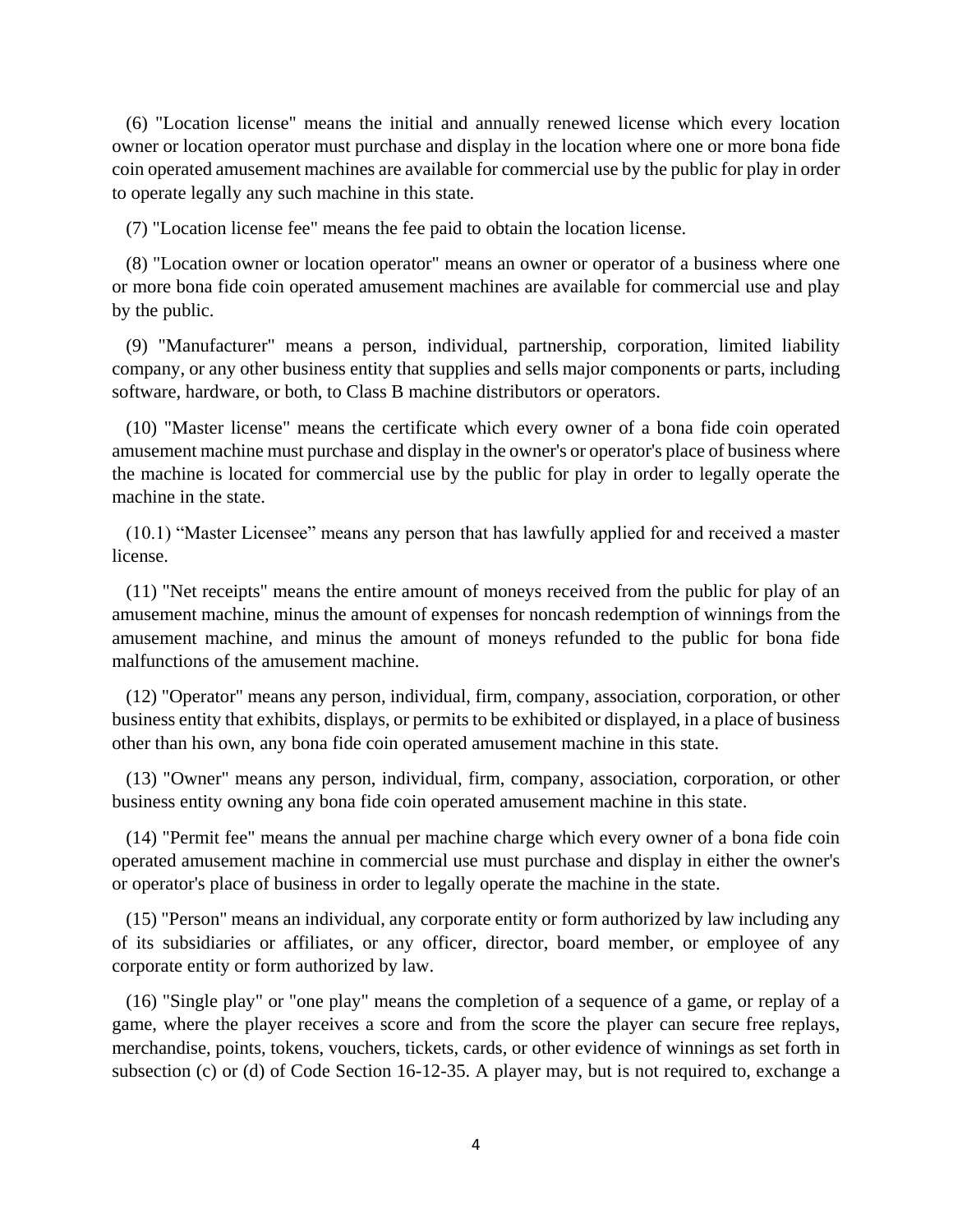(6) "Location license" means the initial and annually renewed license which every location owner or location operator must purchase and display in the location where one or more bona fide coin operated amusement machines are available for commercial use by the public for play in order to operate legally any such machine in this state.

(7) "Location license fee" means the fee paid to obtain the location license.

 (8) "Location owner or location operator" means an owner or operator of a business where one or more bona fide coin operated amusement machines are available for commercial use and play by the public.

 (9) "Manufacturer" means a person, individual, partnership, corporation, limited liability company, or any other business entity that supplies and sells major components or parts, including software, hardware, or both, to Class B machine distributors or operators.

 (10) "Master license" means the certificate which every owner of a bona fide coin operated amusement machine must purchase and display in the owner's or operator's place of business where the machine is located for commercial use by the public for play in order to legally operate the machine in the state.

(10.1) "Master Licensee" means any person that has lawfully applied for and received a master license.

 (11) "Net receipts" means the entire amount of moneys received from the public for play of an amusement machine, minus the amount of expenses for noncash redemption of winnings from the amusement machine, and minus the amount of moneys refunded to the public for bona fide malfunctions of the amusement machine.

 (12) "Operator" means any person, individual, firm, company, association, corporation, or other business entity that exhibits, displays, or permits to be exhibited or displayed, in a place of business other than his own, any bona fide coin operated amusement machine in this state.

 (13) "Owner" means any person, individual, firm, company, association, corporation, or other business entity owning any bona fide coin operated amusement machine in this state.

 (14) "Permit fee" means the annual per machine charge which every owner of a bona fide coin operated amusement machine in commercial use must purchase and display in either the owner's or operator's place of business in order to legally operate the machine in the state.

 (15) "Person" means an individual, any corporate entity or form authorized by law including any of its subsidiaries or affiliates, or any officer, director, board member, or employee of any corporate entity or form authorized by law.

 (16) "Single play" or "one play" means the completion of a sequence of a game, or replay of a game, where the player receives a score and from the score the player can secure free replays, merchandise, points, tokens, vouchers, tickets, cards, or other evidence of winnings as set forth in subsection (c) or (d) of Code Section 16-12-35. A player may, but is not required to, exchange a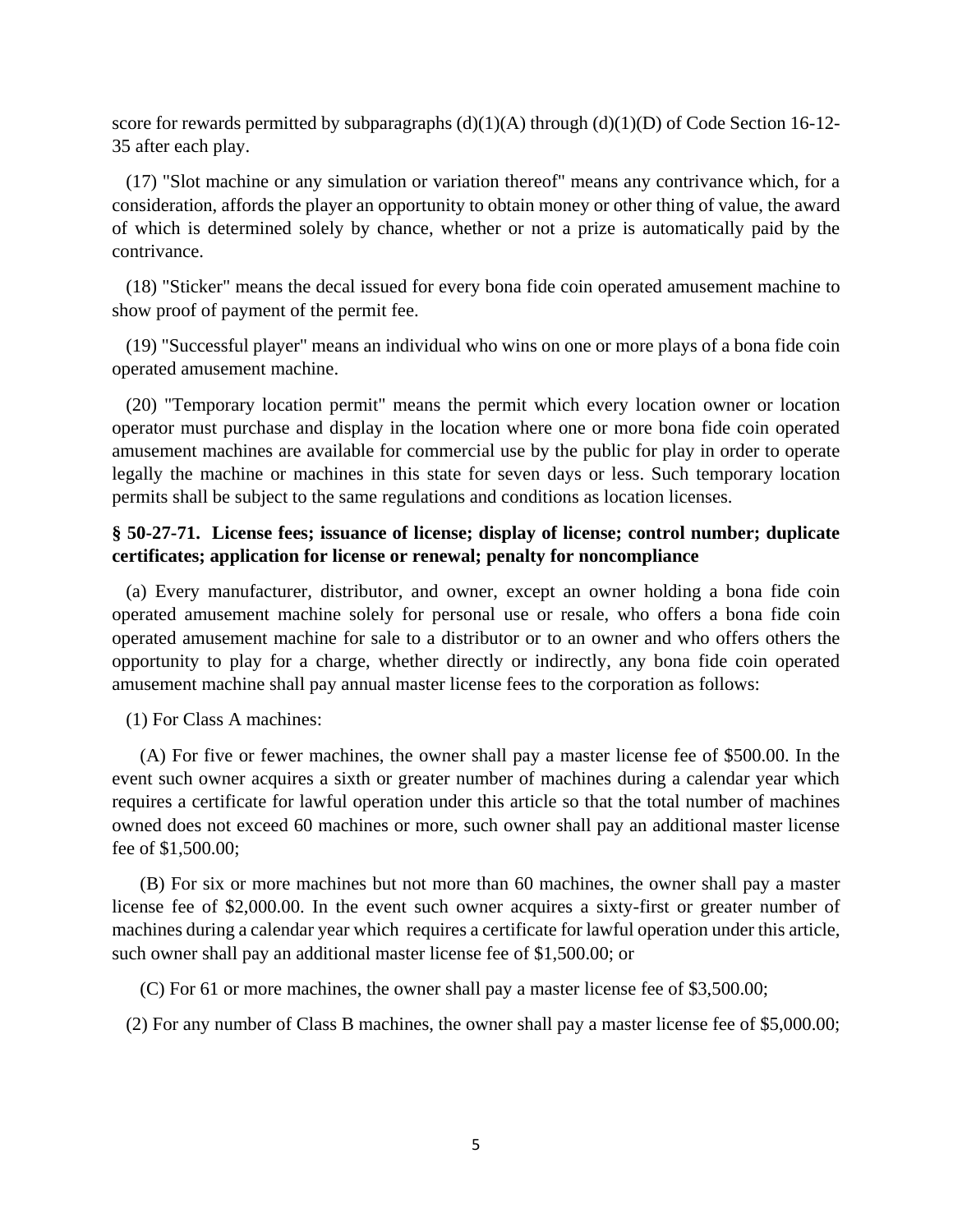score for rewards permitted by subparagraphs  $(d)(1)(A)$  through  $(d)(1)(D)$  of Code Section 16-12-35 after each play.

 (17) "Slot machine or any simulation or variation thereof" means any contrivance which, for a consideration, affords the player an opportunity to obtain money or other thing of value, the award of which is determined solely by chance, whether or not a prize is automatically paid by the contrivance.

 (18) "Sticker" means the decal issued for every bona fide coin operated amusement machine to show proof of payment of the permit fee.

 (19) "Successful player" means an individual who wins on one or more plays of a bona fide coin operated amusement machine.

 (20) "Temporary location permit" means the permit which every location owner or location operator must purchase and display in the location where one or more bona fide coin operated amusement machines are available for commercial use by the public for play in order to operate legally the machine or machines in this state for seven days or less. Such temporary location permits shall be subject to the same regulations and conditions as location licenses.

# **§ 50-27-71. License fees; issuance of license; display of license; control number; duplicate certificates; application for license or renewal; penalty for noncompliance**

 (a) Every manufacturer, distributor, and owner, except an owner holding a bona fide coin operated amusement machine solely for personal use or resale, who offers a bona fide coin operated amusement machine for sale to a distributor or to an owner and who offers others the opportunity to play for a charge, whether directly or indirectly, any bona fide coin operated amusement machine shall pay annual master license fees to the corporation as follows:

(1) For Class A machines:

 (A) For five or fewer machines, the owner shall pay a master license fee of \$500.00. In the event such owner acquires a sixth or greater number of machines during a calendar year which requires a certificate for lawful operation under this article so that the total number of machines owned does not exceed 60 machines or more, such owner shall pay an additional master license fee of \$1,500.00;

 (B) For six or more machines but not more than 60 machines, the owner shall pay a master license fee of \$2,000.00. In the event such owner acquires a sixty-first or greater number of machines during a calendar year which requires a certificate for lawful operation under this article, such owner shall pay an additional master license fee of \$1,500.00; or

(C) For 61 or more machines, the owner shall pay a master license fee of \$3,500.00;

(2) For any number of Class B machines, the owner shall pay a master license fee of \$5,000.00;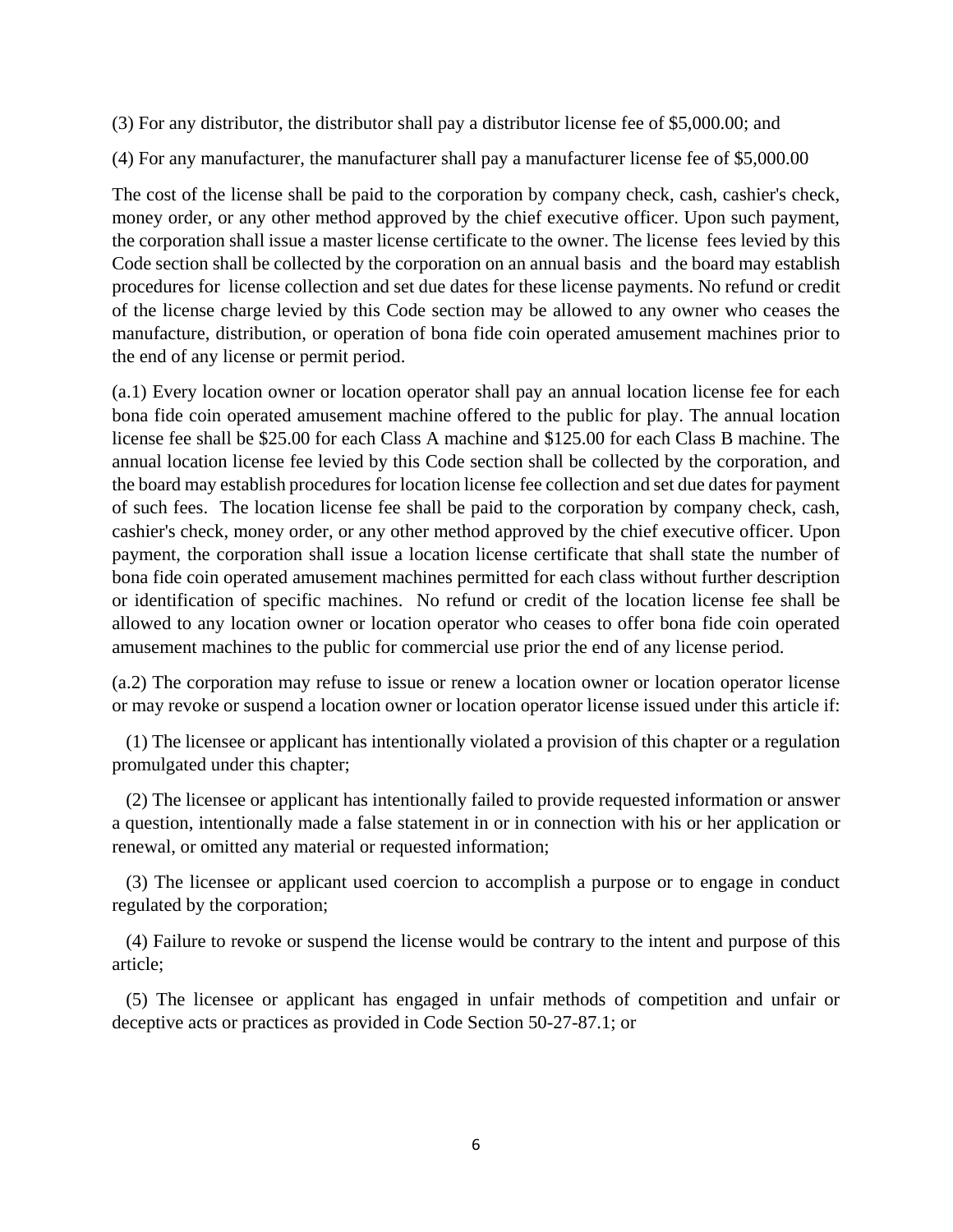(3) For any distributor, the distributor shall pay a distributor license fee of \$5,000.00; and

(4) For any manufacturer, the manufacturer shall pay a manufacturer license fee of \$5,000.00

The cost of the license shall be paid to the corporation by company check, cash, cashier's check, money order, or any other method approved by the chief executive officer. Upon such payment, the corporation shall issue a master license certificate to the owner. The license fees levied by this Code section shall be collected by the corporation on an annual basis and the board may establish procedures for license collection and set due dates for these license payments. No refund or credit of the license charge levied by this Code section may be allowed to any owner who ceases the manufacture, distribution, or operation of bona fide coin operated amusement machines prior to the end of any license or permit period.

(a.1) Every location owner or location operator shall pay an annual location license fee for each bona fide coin operated amusement machine offered to the public for play. The annual location license fee shall be \$25.00 for each Class A machine and \$125.00 for each Class B machine. The annual location license fee levied by this Code section shall be collected by the corporation, and the board may establish procedures for location license fee collection and set due dates for payment of such fees. The location license fee shall be paid to the corporation by company check, cash, cashier's check, money order, or any other method approved by the chief executive officer. Upon payment, the corporation shall issue a location license certificate that shall state the number of bona fide coin operated amusement machines permitted for each class without further description or identification of specific machines. No refund or credit of the location license fee shall be allowed to any location owner or location operator who ceases to offer bona fide coin operated amusement machines to the public for commercial use prior the end of any license period.

(a.2) The corporation may refuse to issue or renew a location owner or location operator license or may revoke or suspend a location owner or location operator license issued under this article if:

 (1) The licensee or applicant has intentionally violated a provision of this chapter or a regulation promulgated under this chapter;

 (2) The licensee or applicant has intentionally failed to provide requested information or answer a question, intentionally made a false statement in or in connection with his or her application or renewal, or omitted any material or requested information;

 (3) The licensee or applicant used coercion to accomplish a purpose or to engage in conduct regulated by the corporation;

 (4) Failure to revoke or suspend the license would be contrary to the intent and purpose of this article;

 (5) The licensee or applicant has engaged in unfair methods of competition and unfair or deceptive acts or practices as provided in Code Section 50-27-87.1; or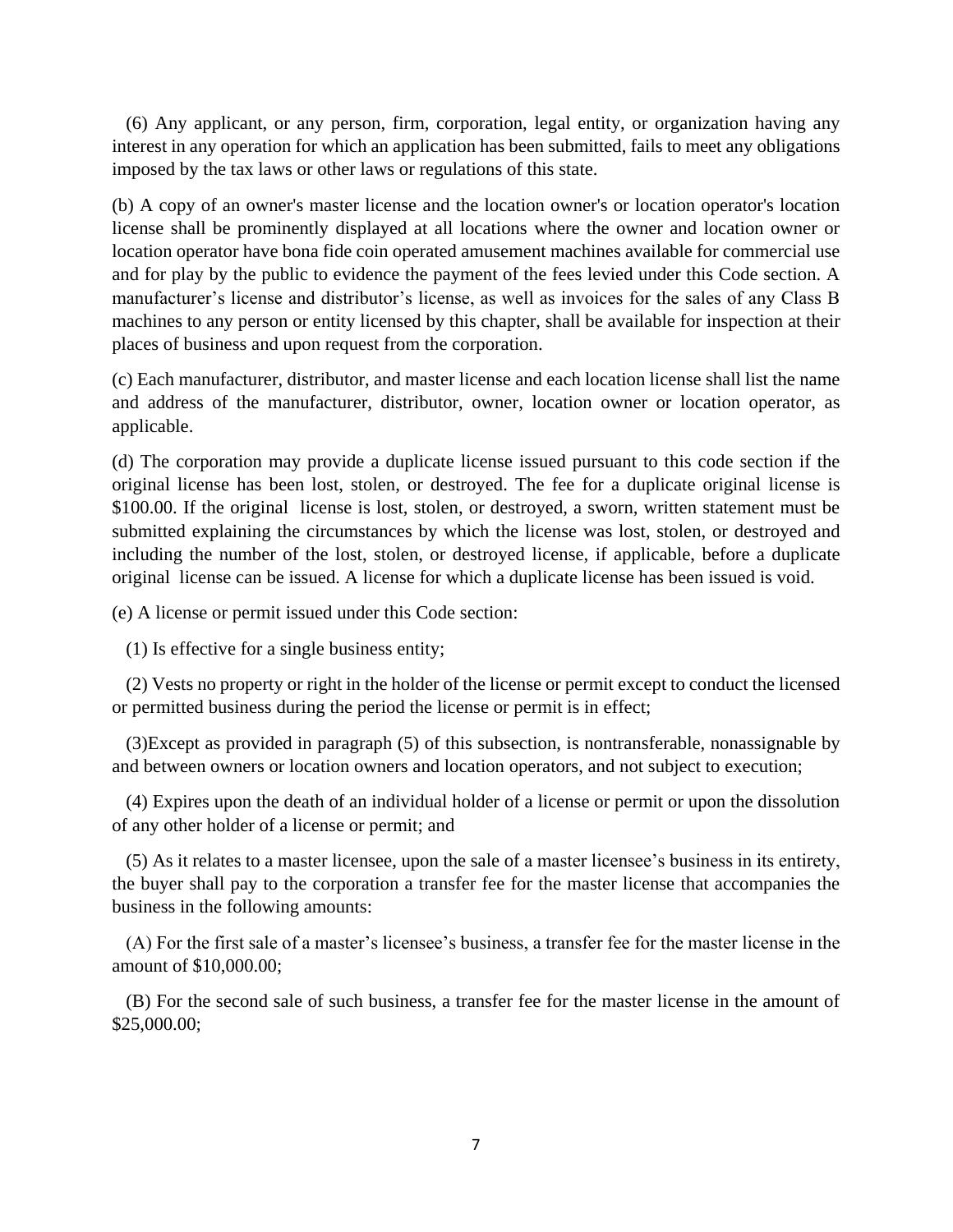(6) Any applicant, or any person, firm, corporation, legal entity, or organization having any interest in any operation for which an application has been submitted, fails to meet any obligations imposed by the tax laws or other laws or regulations of this state.

(b) A copy of an owner's master license and the location owner's or location operator's location license shall be prominently displayed at all locations where the owner and location owner or location operator have bona fide coin operated amusement machines available for commercial use and for play by the public to evidence the payment of the fees levied under this Code section. A manufacturer's license and distributor's license, as well as invoices for the sales of any Class B machines to any person or entity licensed by this chapter, shall be available for inspection at their places of business and upon request from the corporation.

(c) Each manufacturer, distributor, and master license and each location license shall list the name and address of the manufacturer, distributor, owner, location owner or location operator, as applicable.

(d) The corporation may provide a duplicate license issued pursuant to this code section if the original license has been lost, stolen, or destroyed. The fee for a duplicate original license is \$100.00. If the original license is lost, stolen, or destroyed, a sworn, written statement must be submitted explaining the circumstances by which the license was lost, stolen, or destroyed and including the number of the lost, stolen, or destroyed license, if applicable, before a duplicate original license can be issued. A license for which a duplicate license has been issued is void.

(e) A license or permit issued under this Code section:

(1) Is effective for a single business entity;

 (2) Vests no property or right in the holder of the license or permit except to conduct the licensed or permitted business during the period the license or permit is in effect;

 (3)Except as provided in paragraph (5) of this subsection, is nontransferable, nonassignable by and between owners or location owners and location operators, and not subject to execution;

 (4) Expires upon the death of an individual holder of a license or permit or upon the dissolution of any other holder of a license or permit; and

(5) As it relates to a master licensee, upon the sale of a master licensee's business in its entirety, the buyer shall pay to the corporation a transfer fee for the master license that accompanies the business in the following amounts:

(A) For the first sale of a master's licensee's business, a transfer fee for the master license in the amount of \$10,000.00;

(B) For the second sale of such business, a transfer fee for the master license in the amount of \$25,000.00;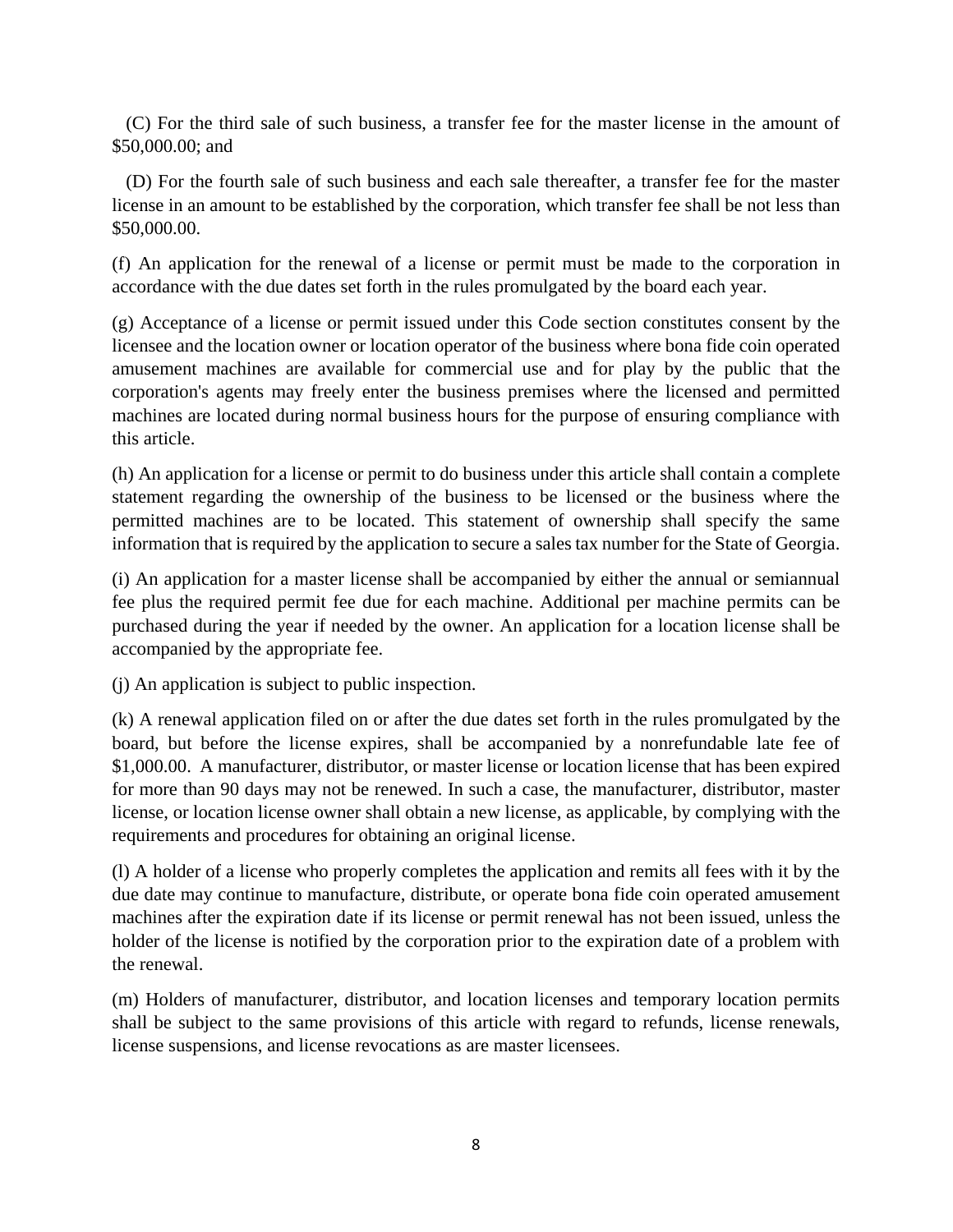(C) For the third sale of such business, a transfer fee for the master license in the amount of \$50,000.00; and

(D) For the fourth sale of such business and each sale thereafter, a transfer fee for the master license in an amount to be established by the corporation, which transfer fee shall be not less than \$50,000.00.

(f) An application for the renewal of a license or permit must be made to the corporation in accordance with the due dates set forth in the rules promulgated by the board each year.

(g) Acceptance of a license or permit issued under this Code section constitutes consent by the licensee and the location owner or location operator of the business where bona fide coin operated amusement machines are available for commercial use and for play by the public that the corporation's agents may freely enter the business premises where the licensed and permitted machines are located during normal business hours for the purpose of ensuring compliance with this article.

(h) An application for a license or permit to do business under this article shall contain a complete statement regarding the ownership of the business to be licensed or the business where the permitted machines are to be located. This statement of ownership shall specify the same information that is required by the application to secure a sales tax number for the State of Georgia.

(i) An application for a master license shall be accompanied by either the annual or semiannual fee plus the required permit fee due for each machine. Additional per machine permits can be purchased during the year if needed by the owner. An application for a location license shall be accompanied by the appropriate fee.

(j) An application is subject to public inspection.

(k) A renewal application filed on or after the due dates set forth in the rules promulgated by the board, but before the license expires, shall be accompanied by a nonrefundable late fee of \$1,000.00. A manufacturer, distributor, or master license or location license that has been expired for more than 90 days may not be renewed. In such a case, the manufacturer, distributor, master license, or location license owner shall obtain a new license, as applicable, by complying with the requirements and procedures for obtaining an original license.

(l) A holder of a license who properly completes the application and remits all fees with it by the due date may continue to manufacture, distribute, or operate bona fide coin operated amusement machines after the expiration date if its license or permit renewal has not been issued, unless the holder of the license is notified by the corporation prior to the expiration date of a problem with the renewal.

(m) Holders of manufacturer, distributor, and location licenses and temporary location permits shall be subject to the same provisions of this article with regard to refunds, license renewals, license suspensions, and license revocations as are master licensees.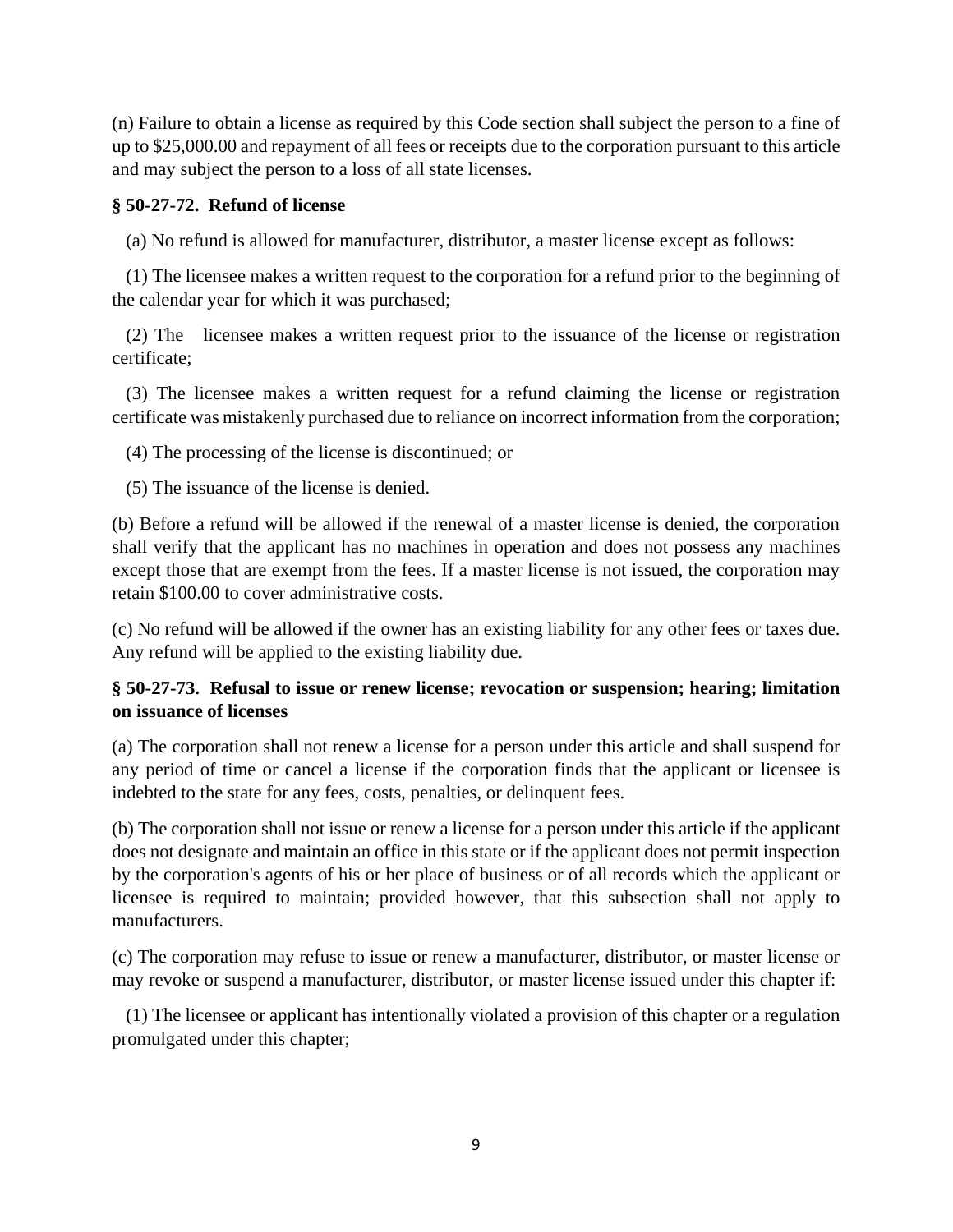(n) Failure to obtain a license as required by this Code section shall subject the person to a fine of up to \$25,000.00 and repayment of all fees or receipts due to the corporation pursuant to this article and may subject the person to a loss of all state licenses.

## **§ 50-27-72. Refund of license**

(a) No refund is allowed for manufacturer, distributor, a master license except as follows:

 (1) The licensee makes a written request to the corporation for a refund prior to the beginning of the calendar year for which it was purchased;

 (2) The licensee makes a written request prior to the issuance of the license or registration certificate;

 (3) The licensee makes a written request for a refund claiming the license or registration certificate was mistakenly purchased due to reliance on incorrect information from the corporation;

(4) The processing of the license is discontinued; or

(5) The issuance of the license is denied.

(b) Before a refund will be allowed if the renewal of a master license is denied, the corporation shall verify that the applicant has no machines in operation and does not possess any machines except those that are exempt from the fees. If a master license is not issued, the corporation may retain \$100.00 to cover administrative costs.

(c) No refund will be allowed if the owner has an existing liability for any other fees or taxes due. Any refund will be applied to the existing liability due.

# **§ 50-27-73. Refusal to issue or renew license; revocation or suspension; hearing; limitation on issuance of licenses**

(a) The corporation shall not renew a license for a person under this article and shall suspend for any period of time or cancel a license if the corporation finds that the applicant or licensee is indebted to the state for any fees, costs, penalties, or delinquent fees.

(b) The corporation shall not issue or renew a license for a person under this article if the applicant does not designate and maintain an office in this state or if the applicant does not permit inspection by the corporation's agents of his or her place of business or of all records which the applicant or licensee is required to maintain; provided however, that this subsection shall not apply to manufacturers.

(c) The corporation may refuse to issue or renew a manufacturer, distributor, or master license or may revoke or suspend a manufacturer, distributor, or master license issued under this chapter if:

 (1) The licensee or applicant has intentionally violated a provision of this chapter or a regulation promulgated under this chapter;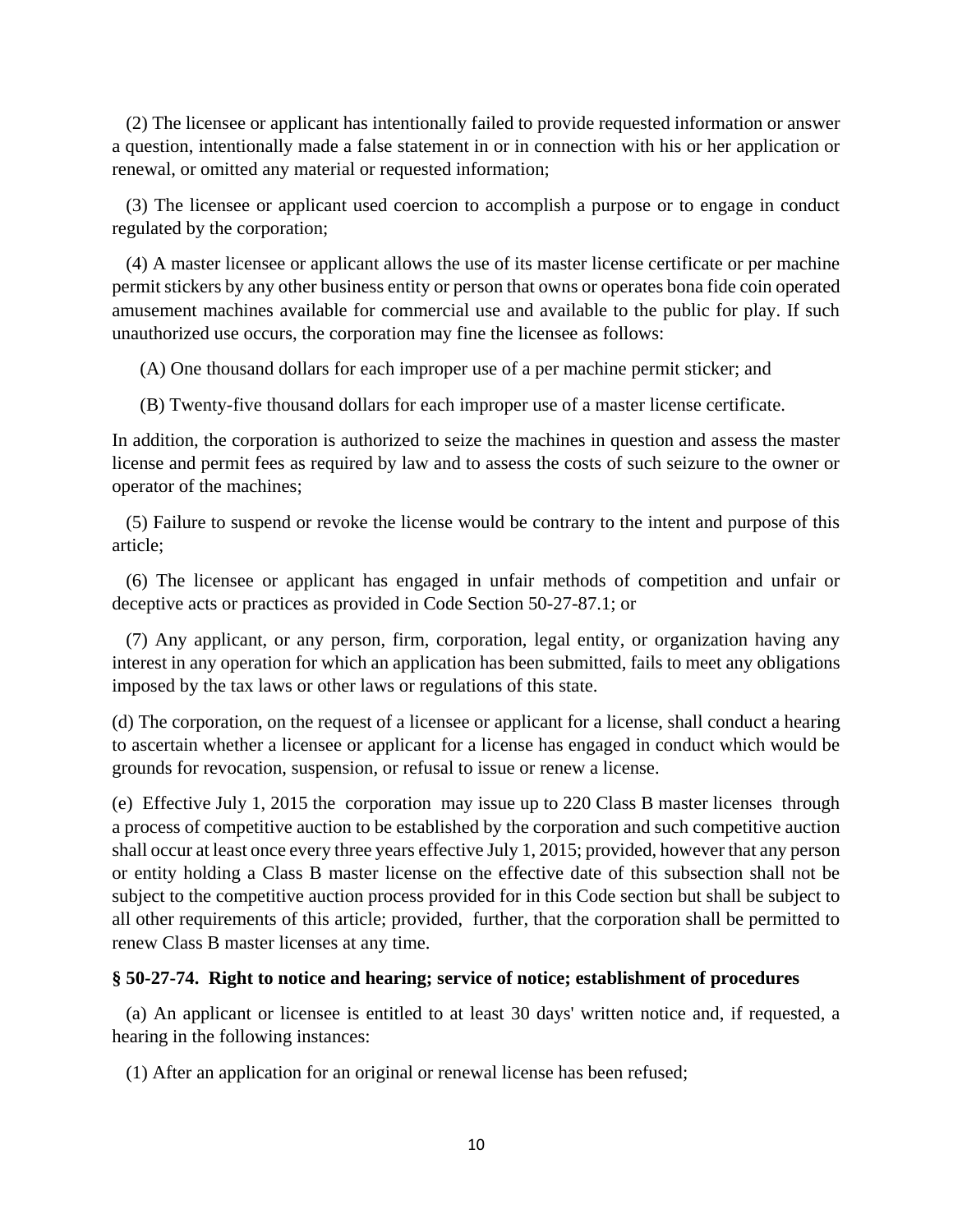(2) The licensee or applicant has intentionally failed to provide requested information or answer a question, intentionally made a false statement in or in connection with his or her application or renewal, or omitted any material or requested information;

 (3) The licensee or applicant used coercion to accomplish a purpose or to engage in conduct regulated by the corporation;

 (4) A master licensee or applicant allows the use of its master license certificate or per machine permit stickers by any other business entity or person that owns or operates bona fide coin operated amusement machines available for commercial use and available to the public for play. If such unauthorized use occurs, the corporation may fine the licensee as follows:

(A) One thousand dollars for each improper use of a per machine permit sticker; and

(B) Twenty-five thousand dollars for each improper use of a master license certificate.

In addition, the corporation is authorized to seize the machines in question and assess the master license and permit fees as required by law and to assess the costs of such seizure to the owner or operator of the machines;

 (5) Failure to suspend or revoke the license would be contrary to the intent and purpose of this article;

 (6) The licensee or applicant has engaged in unfair methods of competition and unfair or deceptive acts or practices as provided in Code Section 50-27-87.1; or

 (7) Any applicant, or any person, firm, corporation, legal entity, or organization having any interest in any operation for which an application has been submitted, fails to meet any obligations imposed by the tax laws or other laws or regulations of this state.

(d) The corporation, on the request of a licensee or applicant for a license, shall conduct a hearing to ascertain whether a licensee or applicant for a license has engaged in conduct which would be grounds for revocation, suspension, or refusal to issue or renew a license.

(e) Effective July 1, 2015 the corporation may issue up to 220 Class B master licenses through a process of competitive auction to be established by the corporation and such competitive auction shall occur at least once every three years effective July 1, 2015; provided, however that any person or entity holding a Class B master license on the effective date of this subsection shall not be subject to the competitive auction process provided for in this Code section but shall be subject to all other requirements of this article; provided, further, that the corporation shall be permitted to renew Class B master licenses at any time.

# **§ 50-27-74. Right to notice and hearing; service of notice; establishment of procedures**

 (a) An applicant or licensee is entitled to at least 30 days' written notice and, if requested, a hearing in the following instances:

(1) After an application for an original or renewal license has been refused;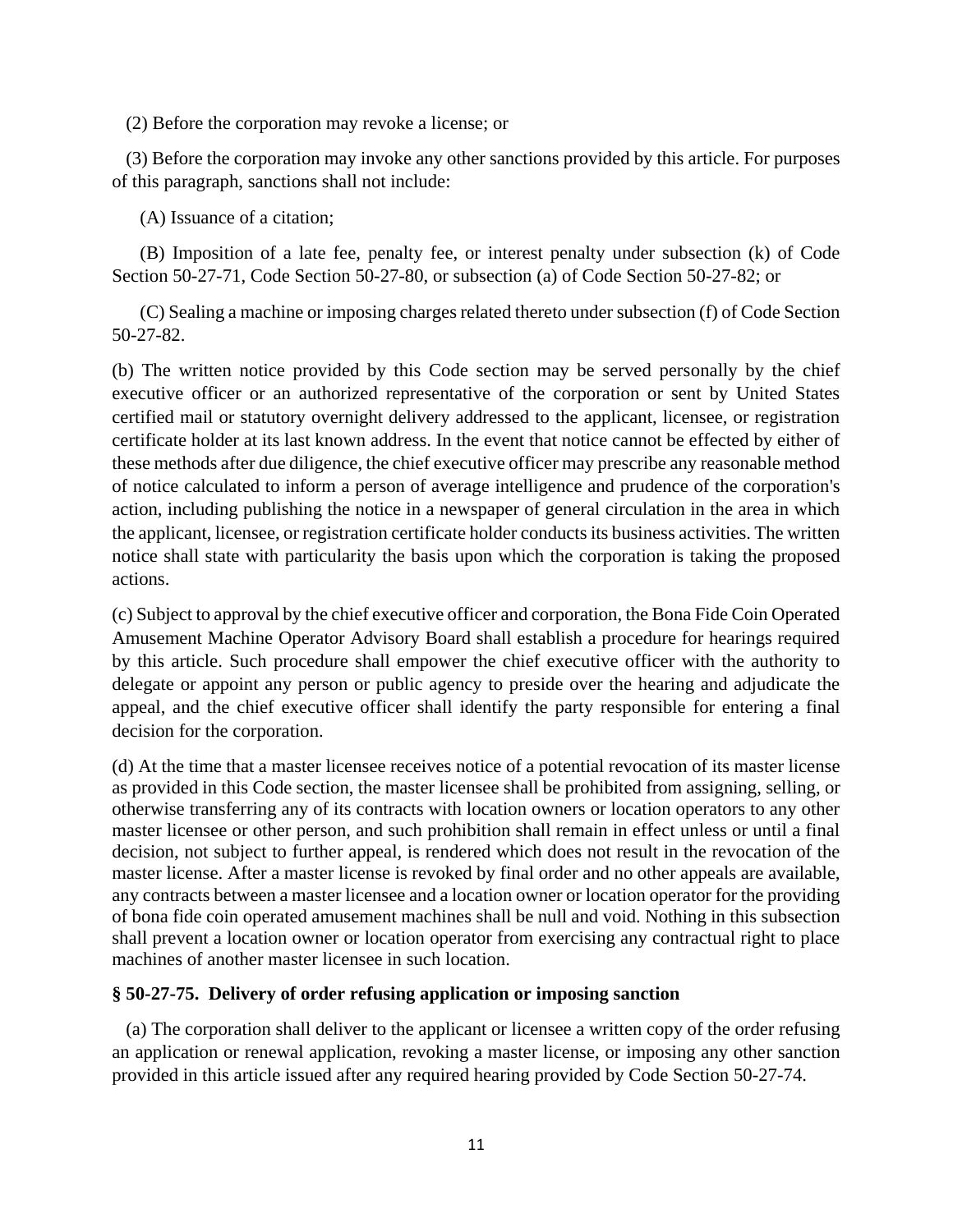(2) Before the corporation may revoke a license; or

 (3) Before the corporation may invoke any other sanctions provided by this article. For purposes of this paragraph, sanctions shall not include:

(A) Issuance of a citation;

 (B) Imposition of a late fee, penalty fee, or interest penalty under subsection (k) of Code Section 50-27-71, Code Section 50-27-80, or subsection (a) of Code Section 50-27-82; or

 (C) Sealing a machine or imposing charges related thereto under subsection (f) of Code Section 50-27-82.

(b) The written notice provided by this Code section may be served personally by the chief executive officer or an authorized representative of the corporation or sent by United States certified mail or statutory overnight delivery addressed to the applicant, licensee, or registration certificate holder at its last known address. In the event that notice cannot be effected by either of these methods after due diligence, the chief executive officer may prescribe any reasonable method of notice calculated to inform a person of average intelligence and prudence of the corporation's action, including publishing the notice in a newspaper of general circulation in the area in which the applicant, licensee, or registration certificate holder conducts its business activities. The written notice shall state with particularity the basis upon which the corporation is taking the proposed actions.

(c) Subject to approval by the chief executive officer and corporation, the Bona Fide Coin Operated Amusement Machine Operator Advisory Board shall establish a procedure for hearings required by this article. Such procedure shall empower the chief executive officer with the authority to delegate or appoint any person or public agency to preside over the hearing and adjudicate the appeal, and the chief executive officer shall identify the party responsible for entering a final decision for the corporation.

(d) At the time that a master licensee receives notice of a potential revocation of its master license as provided in this Code section, the master licensee shall be prohibited from assigning, selling, or otherwise transferring any of its contracts with location owners or location operators to any other master licensee or other person, and such prohibition shall remain in effect unless or until a final decision, not subject to further appeal, is rendered which does not result in the revocation of the master license. After a master license is revoked by final order and no other appeals are available, any contracts between a master licensee and a location owner or location operator for the providing of bona fide coin operated amusement machines shall be null and void. Nothing in this subsection shall prevent a location owner or location operator from exercising any contractual right to place machines of another master licensee in such location.

# **§ 50-27-75. Delivery of order refusing application or imposing sanction**

 (a) The corporation shall deliver to the applicant or licensee a written copy of the order refusing an application or renewal application, revoking a master license, or imposing any other sanction provided in this article issued after any required hearing provided by Code Section 50-27-74.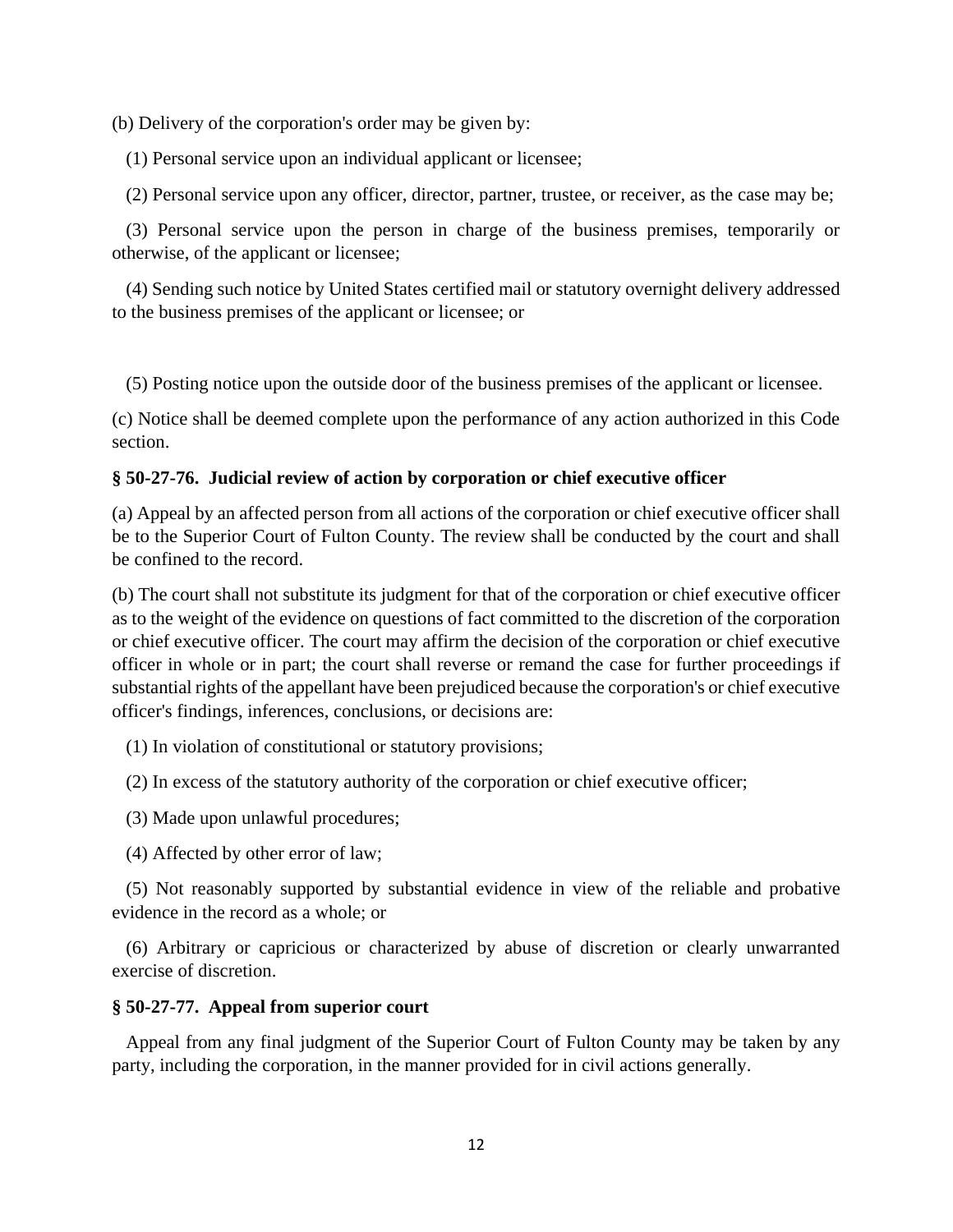(b) Delivery of the corporation's order may be given by:

(1) Personal service upon an individual applicant or licensee;

(2) Personal service upon any officer, director, partner, trustee, or receiver, as the case may be;

 (3) Personal service upon the person in charge of the business premises, temporarily or otherwise, of the applicant or licensee;

 (4) Sending such notice by United States certified mail or statutory overnight delivery addressed to the business premises of the applicant or licensee; or

(5) Posting notice upon the outside door of the business premises of the applicant or licensee.

(c) Notice shall be deemed complete upon the performance of any action authorized in this Code section.

## **§ 50-27-76. Judicial review of action by corporation or chief executive officer**

(a) Appeal by an affected person from all actions of the corporation or chief executive officer shall be to the Superior Court of Fulton County. The review shall be conducted by the court and shall be confined to the record.

(b) The court shall not substitute its judgment for that of the corporation or chief executive officer as to the weight of the evidence on questions of fact committed to the discretion of the corporation or chief executive officer. The court may affirm the decision of the corporation or chief executive officer in whole or in part; the court shall reverse or remand the case for further proceedings if substantial rights of the appellant have been prejudiced because the corporation's or chief executive officer's findings, inferences, conclusions, or decisions are:

(1) In violation of constitutional or statutory provisions;

(2) In excess of the statutory authority of the corporation or chief executive officer;

(3) Made upon unlawful procedures;

(4) Affected by other error of law;

 (5) Not reasonably supported by substantial evidence in view of the reliable and probative evidence in the record as a whole; or

 (6) Arbitrary or capricious or characterized by abuse of discretion or clearly unwarranted exercise of discretion.

## **§ 50-27-77. Appeal from superior court**

 Appeal from any final judgment of the Superior Court of Fulton County may be taken by any party, including the corporation, in the manner provided for in civil actions generally.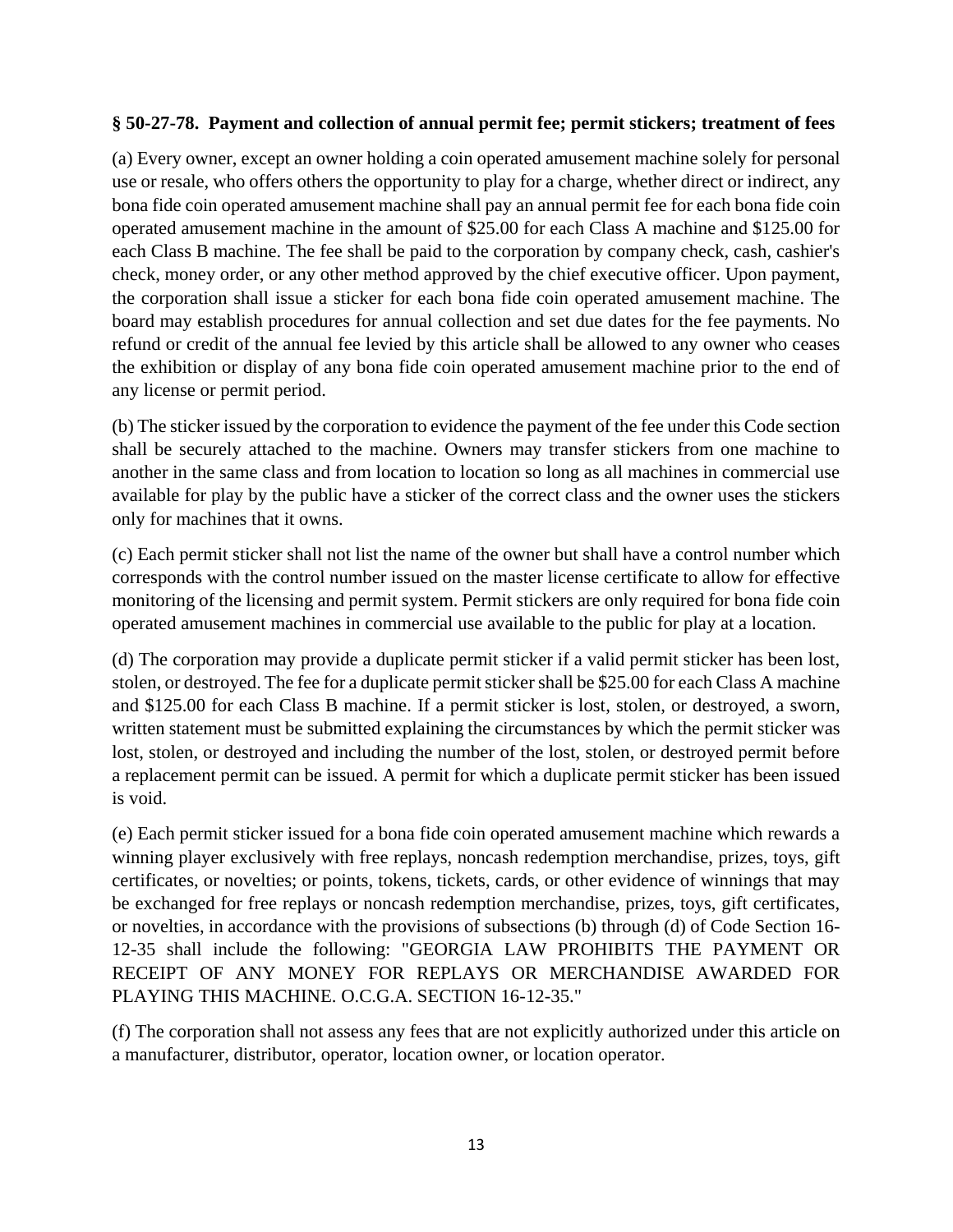## **§ 50-27-78. Payment and collection of annual permit fee; permit stickers; treatment of fees**

(a) Every owner, except an owner holding a coin operated amusement machine solely for personal use or resale, who offers others the opportunity to play for a charge, whether direct or indirect, any bona fide coin operated amusement machine shall pay an annual permit fee for each bona fide coin operated amusement machine in the amount of \$25.00 for each Class A machine and \$125.00 for each Class B machine. The fee shall be paid to the corporation by company check, cash, cashier's check, money order, or any other method approved by the chief executive officer. Upon payment, the corporation shall issue a sticker for each bona fide coin operated amusement machine. The board may establish procedures for annual collection and set due dates for the fee payments. No refund or credit of the annual fee levied by this article shall be allowed to any owner who ceases the exhibition or display of any bona fide coin operated amusement machine prior to the end of any license or permit period.

(b) The sticker issued by the corporation to evidence the payment of the fee under this Code section shall be securely attached to the machine. Owners may transfer stickers from one machine to another in the same class and from location to location so long as all machines in commercial use available for play by the public have a sticker of the correct class and the owner uses the stickers only for machines that it owns.

(c) Each permit sticker shall not list the name of the owner but shall have a control number which corresponds with the control number issued on the master license certificate to allow for effective monitoring of the licensing and permit system. Permit stickers are only required for bona fide coin operated amusement machines in commercial use available to the public for play at a location.

(d) The corporation may provide a duplicate permit sticker if a valid permit sticker has been lost, stolen, or destroyed. The fee for a duplicate permit sticker shall be \$25.00 for each Class A machine and \$125.00 for each Class B machine. If a permit sticker is lost, stolen, or destroyed, a sworn, written statement must be submitted explaining the circumstances by which the permit sticker was lost, stolen, or destroyed and including the number of the lost, stolen, or destroyed permit before a replacement permit can be issued. A permit for which a duplicate permit sticker has been issued is void.

(e) Each permit sticker issued for a bona fide coin operated amusement machine which rewards a winning player exclusively with free replays, noncash redemption merchandise, prizes, toys, gift certificates, or novelties; or points, tokens, tickets, cards, or other evidence of winnings that may be exchanged for free replays or noncash redemption merchandise, prizes, toys, gift certificates, or novelties, in accordance with the provisions of subsections (b) through (d) of Code Section 16- 12-35 shall include the following: "GEORGIA LAW PROHIBITS THE PAYMENT OR RECEIPT OF ANY MONEY FOR REPLAYS OR MERCHANDISE AWARDED FOR PLAYING THIS MACHINE. O.C.G.A. SECTION 16-12-35."

(f) The corporation shall not assess any fees that are not explicitly authorized under this article on a manufacturer, distributor, operator, location owner, or location operator.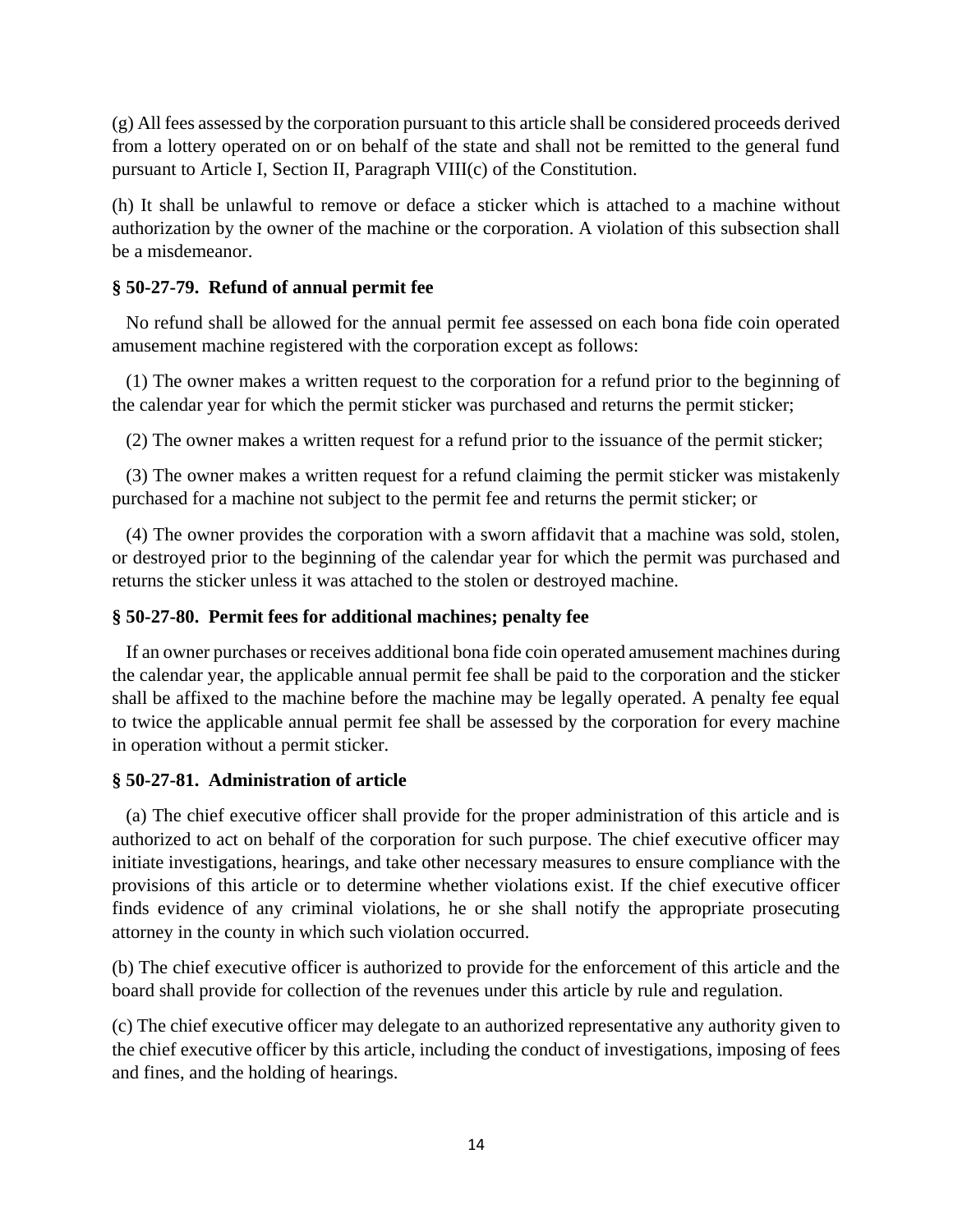(g) All fees assessed by the corporation pursuant to this article shall be considered proceeds derived from a lottery operated on or on behalf of the state and shall not be remitted to the general fund pursuant to Article I, Section II, Paragraph VIII(c) of the Constitution.

(h) It shall be unlawful to remove or deface a sticker which is attached to a machine without authorization by the owner of the machine or the corporation. A violation of this subsection shall be a misdemeanor.

## **§ 50-27-79. Refund of annual permit fee**

 No refund shall be allowed for the annual permit fee assessed on each bona fide coin operated amusement machine registered with the corporation except as follows:

 (1) The owner makes a written request to the corporation for a refund prior to the beginning of the calendar year for which the permit sticker was purchased and returns the permit sticker;

(2) The owner makes a written request for a refund prior to the issuance of the permit sticker;

 (3) The owner makes a written request for a refund claiming the permit sticker was mistakenly purchased for a machine not subject to the permit fee and returns the permit sticker; or

 (4) The owner provides the corporation with a sworn affidavit that a machine was sold, stolen, or destroyed prior to the beginning of the calendar year for which the permit was purchased and returns the sticker unless it was attached to the stolen or destroyed machine.

## **§ 50-27-80. Permit fees for additional machines; penalty fee**

 If an owner purchases or receives additional bona fide coin operated amusement machines during the calendar year, the applicable annual permit fee shall be paid to the corporation and the sticker shall be affixed to the machine before the machine may be legally operated. A penalty fee equal to twice the applicable annual permit fee shall be assessed by the corporation for every machine in operation without a permit sticker.

## **§ 50-27-81. Administration of article**

 (a) The chief executive officer shall provide for the proper administration of this article and is authorized to act on behalf of the corporation for such purpose. The chief executive officer may initiate investigations, hearings, and take other necessary measures to ensure compliance with the provisions of this article or to determine whether violations exist. If the chief executive officer finds evidence of any criminal violations, he or she shall notify the appropriate prosecuting attorney in the county in which such violation occurred.

(b) The chief executive officer is authorized to provide for the enforcement of this article and the board shall provide for collection of the revenues under this article by rule and regulation.

(c) The chief executive officer may delegate to an authorized representative any authority given to the chief executive officer by this article, including the conduct of investigations, imposing of fees and fines, and the holding of hearings.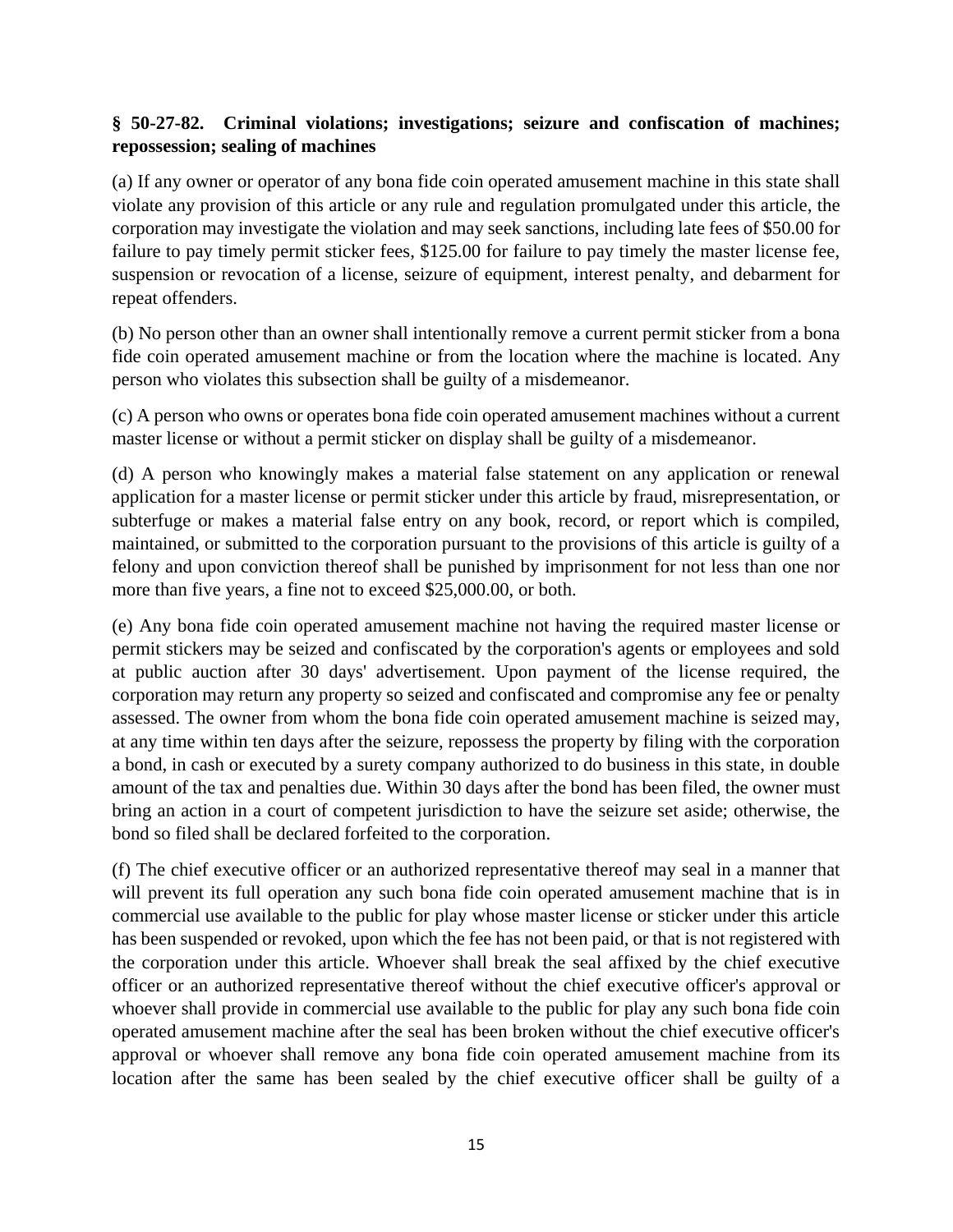# **§ 50-27-82. Criminal violations; investigations; seizure and confiscation of machines; repossession; sealing of machines**

(a) If any owner or operator of any bona fide coin operated amusement machine in this state shall violate any provision of this article or any rule and regulation promulgated under this article, the corporation may investigate the violation and may seek sanctions, including late fees of \$50.00 for failure to pay timely permit sticker fees, \$125.00 for failure to pay timely the master license fee, suspension or revocation of a license, seizure of equipment, interest penalty, and debarment for repeat offenders.

(b) No person other than an owner shall intentionally remove a current permit sticker from a bona fide coin operated amusement machine or from the location where the machine is located. Any person who violates this subsection shall be guilty of a misdemeanor.

(c) A person who owns or operates bona fide coin operated amusement machines without a current master license or without a permit sticker on display shall be guilty of a misdemeanor.

(d) A person who knowingly makes a material false statement on any application or renewal application for a master license or permit sticker under this article by fraud, misrepresentation, or subterfuge or makes a material false entry on any book, record, or report which is compiled, maintained, or submitted to the corporation pursuant to the provisions of this article is guilty of a felony and upon conviction thereof shall be punished by imprisonment for not less than one nor more than five years, a fine not to exceed \$25,000.00, or both.

(e) Any bona fide coin operated amusement machine not having the required master license or permit stickers may be seized and confiscated by the corporation's agents or employees and sold at public auction after 30 days' advertisement. Upon payment of the license required, the corporation may return any property so seized and confiscated and compromise any fee or penalty assessed. The owner from whom the bona fide coin operated amusement machine is seized may, at any time within ten days after the seizure, repossess the property by filing with the corporation a bond, in cash or executed by a surety company authorized to do business in this state, in double amount of the tax and penalties due. Within 30 days after the bond has been filed, the owner must bring an action in a court of competent jurisdiction to have the seizure set aside; otherwise, the bond so filed shall be declared forfeited to the corporation.

(f) The chief executive officer or an authorized representative thereof may seal in a manner that will prevent its full operation any such bona fide coin operated amusement machine that is in commercial use available to the public for play whose master license or sticker under this article has been suspended or revoked, upon which the fee has not been paid, or that is not registered with the corporation under this article. Whoever shall break the seal affixed by the chief executive officer or an authorized representative thereof without the chief executive officer's approval or whoever shall provide in commercial use available to the public for play any such bona fide coin operated amusement machine after the seal has been broken without the chief executive officer's approval or whoever shall remove any bona fide coin operated amusement machine from its location after the same has been sealed by the chief executive officer shall be guilty of a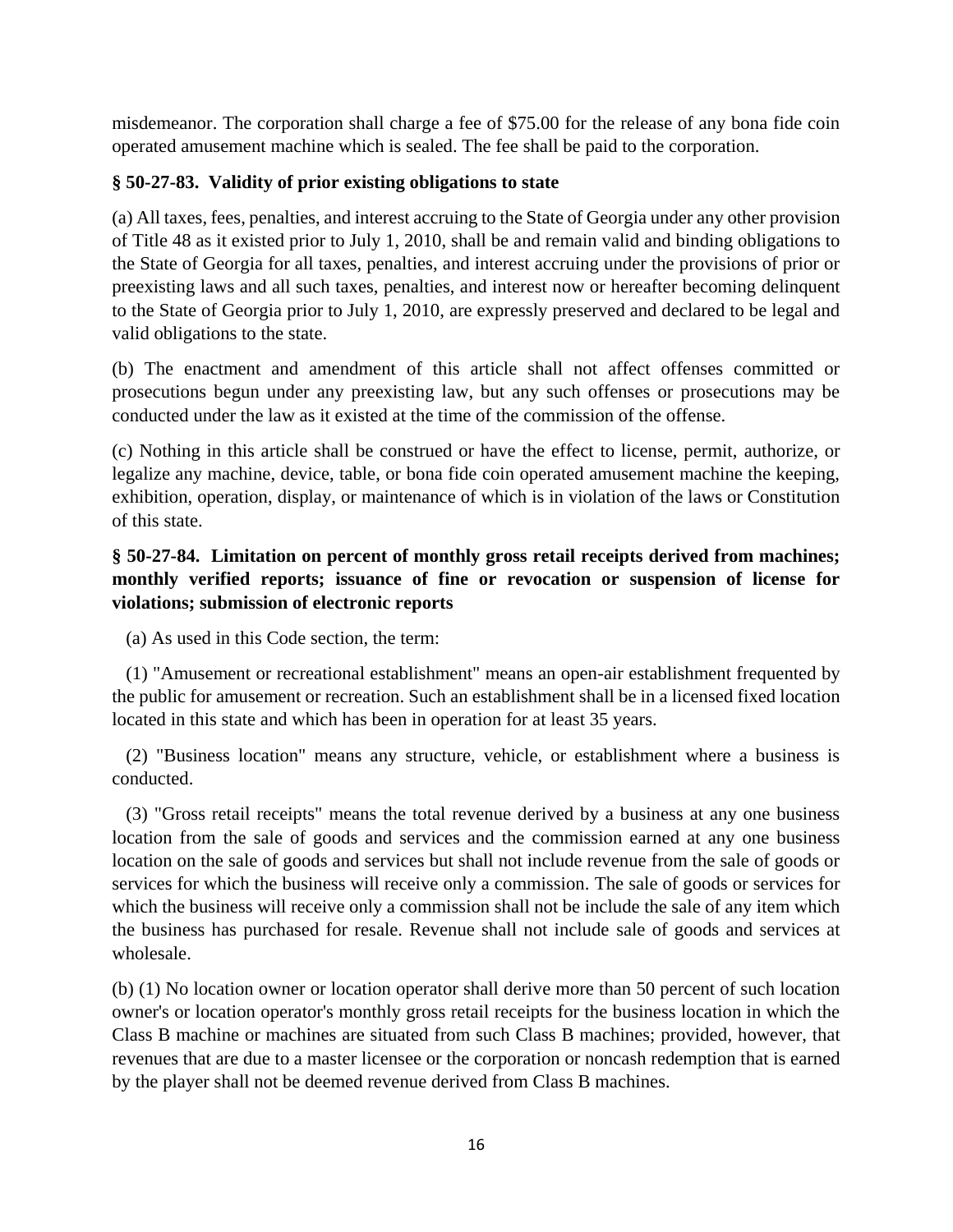misdemeanor. The corporation shall charge a fee of \$75.00 for the release of any bona fide coin operated amusement machine which is sealed. The fee shall be paid to the corporation.

# **§ 50-27-83. Validity of prior existing obligations to state**

(a) All taxes, fees, penalties, and interest accruing to the State of Georgia under any other provision of Title 48 as it existed prior to July 1, 2010, shall be and remain valid and binding obligations to the State of Georgia for all taxes, penalties, and interest accruing under the provisions of prior or preexisting laws and all such taxes, penalties, and interest now or hereafter becoming delinquent to the State of Georgia prior to July 1, 2010, are expressly preserved and declared to be legal and valid obligations to the state.

(b) The enactment and amendment of this article shall not affect offenses committed or prosecutions begun under any preexisting law, but any such offenses or prosecutions may be conducted under the law as it existed at the time of the commission of the offense.

(c) Nothing in this article shall be construed or have the effect to license, permit, authorize, or legalize any machine, device, table, or bona fide coin operated amusement machine the keeping, exhibition, operation, display, or maintenance of which is in violation of the laws or Constitution of this state.

# **§ 50-27-84. Limitation on percent of monthly gross retail receipts derived from machines; monthly verified reports; issuance of fine or revocation or suspension of license for violations; submission of electronic reports**

(a) As used in this Code section, the term:

 (1) "Amusement or recreational establishment" means an open-air establishment frequented by the public for amusement or recreation. Such an establishment shall be in a licensed fixed location located in this state and which has been in operation for at least 35 years.

 (2) "Business location" means any structure, vehicle, or establishment where a business is conducted.

 (3) "Gross retail receipts" means the total revenue derived by a business at any one business location from the sale of goods and services and the commission earned at any one business location on the sale of goods and services but shall not include revenue from the sale of goods or services for which the business will receive only a commission. The sale of goods or services for which the business will receive only a commission shall not be include the sale of any item which the business has purchased for resale. Revenue shall not include sale of goods and services at wholesale.

(b) (1) No location owner or location operator shall derive more than 50 percent of such location owner's or location operator's monthly gross retail receipts for the business location in which the Class B machine or machines are situated from such Class B machines; provided, however, that revenues that are due to a master licensee or the corporation or noncash redemption that is earned by the player shall not be deemed revenue derived from Class B machines.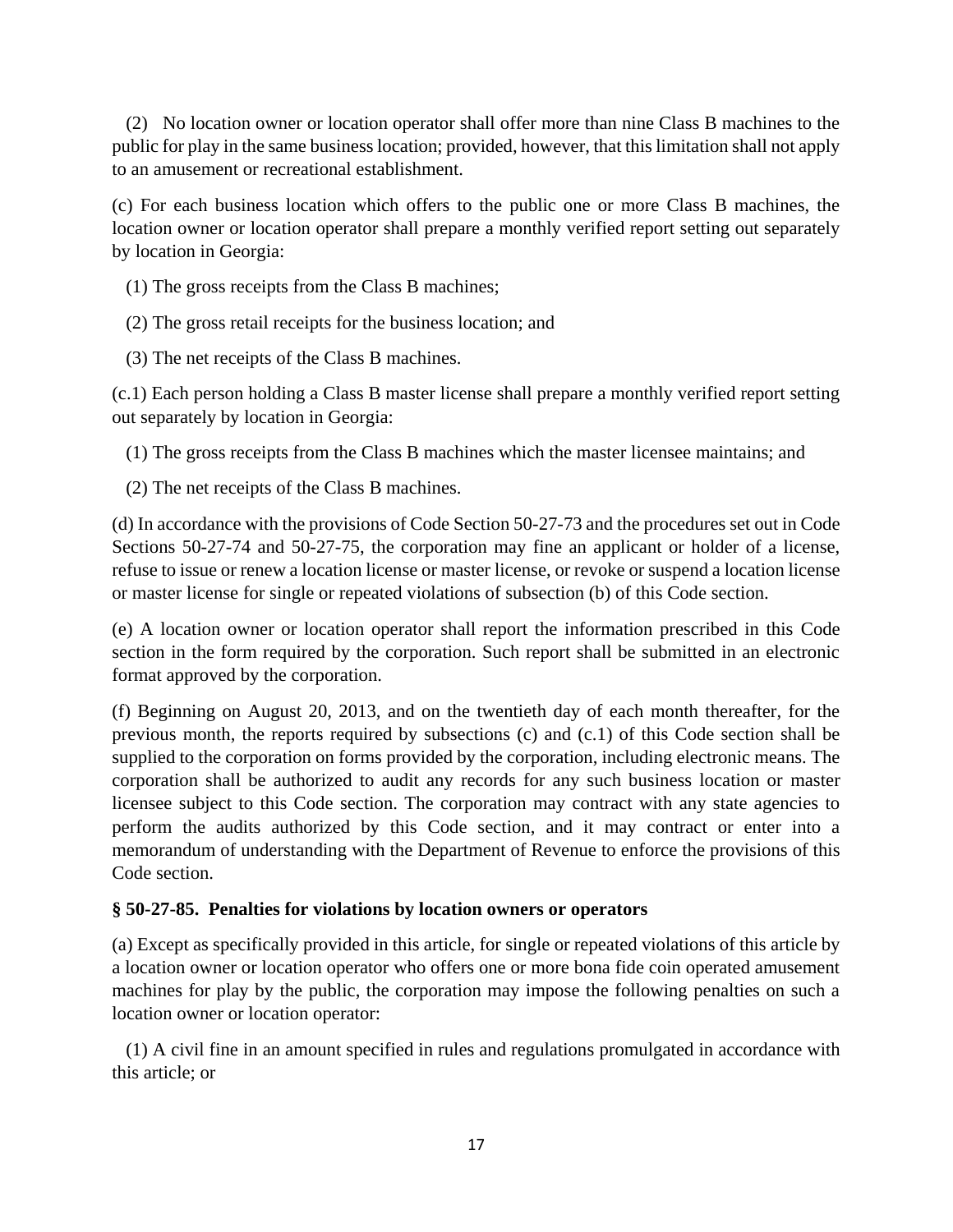(2) No location owner or location operator shall offer more than nine Class B machines to the public for play in the same business location; provided, however, that this limitation shall not apply to an amusement or recreational establishment.

(c) For each business location which offers to the public one or more Class B machines, the location owner or location operator shall prepare a monthly verified report setting out separately by location in Georgia:

- (1) The gross receipts from the Class B machines;
- (2) The gross retail receipts for the business location; and
- (3) The net receipts of the Class B machines.

(c.1) Each person holding a Class B master license shall prepare a monthly verified report setting out separately by location in Georgia:

- (1) The gross receipts from the Class B machines which the master licensee maintains; and
- (2) The net receipts of the Class B machines.

(d) In accordance with the provisions of Code Section 50-27-73 and the procedures set out in Code Sections 50-27-74 and 50-27-75, the corporation may fine an applicant or holder of a license, refuse to issue or renew a location license or master license, or revoke or suspend a location license or master license for single or repeated violations of subsection (b) of this Code section.

(e) A location owner or location operator shall report the information prescribed in this Code section in the form required by the corporation. Such report shall be submitted in an electronic format approved by the corporation.

(f) Beginning on August 20, 2013, and on the twentieth day of each month thereafter, for the previous month, the reports required by subsections (c) and (c.1) of this Code section shall be supplied to the corporation on forms provided by the corporation, including electronic means. The corporation shall be authorized to audit any records for any such business location or master licensee subject to this Code section. The corporation may contract with any state agencies to perform the audits authorized by this Code section, and it may contract or enter into a memorandum of understanding with the Department of Revenue to enforce the provisions of this Code section.

## **§ 50-27-85. Penalties for violations by location owners or operators**

(a) Except as specifically provided in this article, for single or repeated violations of this article by a location owner or location operator who offers one or more bona fide coin operated amusement machines for play by the public, the corporation may impose the following penalties on such a location owner or location operator:

 (1) A civil fine in an amount specified in rules and regulations promulgated in accordance with this article; or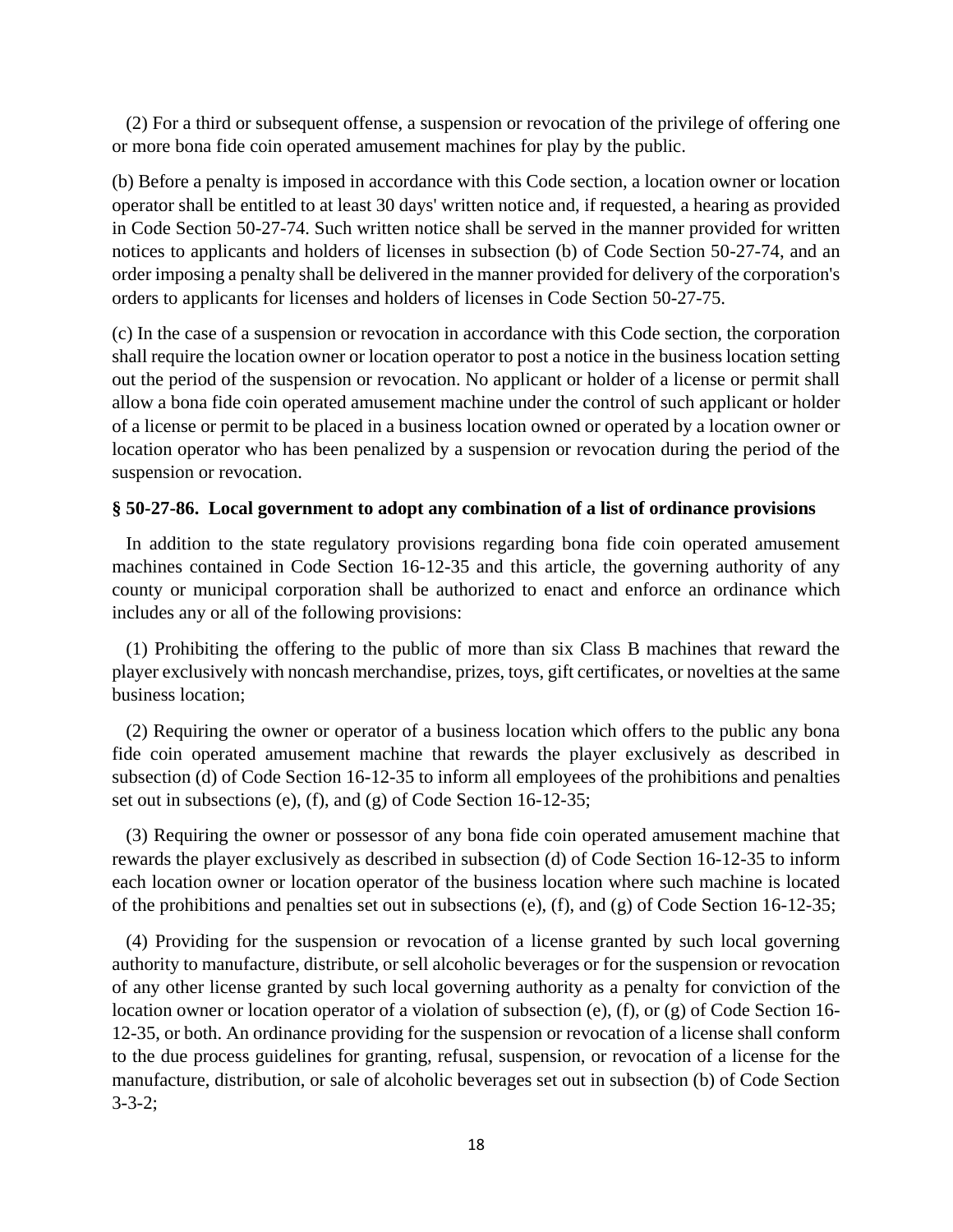(2) For a third or subsequent offense, a suspension or revocation of the privilege of offering one or more bona fide coin operated amusement machines for play by the public.

(b) Before a penalty is imposed in accordance with this Code section, a location owner or location operator shall be entitled to at least 30 days' written notice and, if requested, a hearing as provided in Code Section 50-27-74. Such written notice shall be served in the manner provided for written notices to applicants and holders of licenses in subsection (b) of Code Section 50-27-74, and an order imposing a penalty shall be delivered in the manner provided for delivery of the corporation's orders to applicants for licenses and holders of licenses in Code Section 50-27-75.

(c) In the case of a suspension or revocation in accordance with this Code section, the corporation shall require the location owner or location operator to post a notice in the business location setting out the period of the suspension or revocation. No applicant or holder of a license or permit shall allow a bona fide coin operated amusement machine under the control of such applicant or holder of a license or permit to be placed in a business location owned or operated by a location owner or location operator who has been penalized by a suspension or revocation during the period of the suspension or revocation.

# **§ 50-27-86. Local government to adopt any combination of a list of ordinance provisions**

 In addition to the state regulatory provisions regarding bona fide coin operated amusement machines contained in Code Section 16-12-35 and this article, the governing authority of any county or municipal corporation shall be authorized to enact and enforce an ordinance which includes any or all of the following provisions:

 (1) Prohibiting the offering to the public of more than six Class B machines that reward the player exclusively with noncash merchandise, prizes, toys, gift certificates, or novelties at the same business location;

 (2) Requiring the owner or operator of a business location which offers to the public any bona fide coin operated amusement machine that rewards the player exclusively as described in subsection (d) of Code Section 16-12-35 to inform all employees of the prohibitions and penalties set out in subsections (e), (f), and (g) of Code Section 16-12-35;

 (3) Requiring the owner or possessor of any bona fide coin operated amusement machine that rewards the player exclusively as described in subsection (d) of Code Section 16-12-35 to inform each location owner or location operator of the business location where such machine is located of the prohibitions and penalties set out in subsections (e), (f), and (g) of Code Section 16-12-35;

 (4) Providing for the suspension or revocation of a license granted by such local governing authority to manufacture, distribute, or sell alcoholic beverages or for the suspension or revocation of any other license granted by such local governing authority as a penalty for conviction of the location owner or location operator of a violation of subsection (e), (f), or (g) of Code Section 16- 12-35, or both. An ordinance providing for the suspension or revocation of a license shall conform to the due process guidelines for granting, refusal, suspension, or revocation of a license for the manufacture, distribution, or sale of alcoholic beverages set out in subsection (b) of Code Section 3-3-2;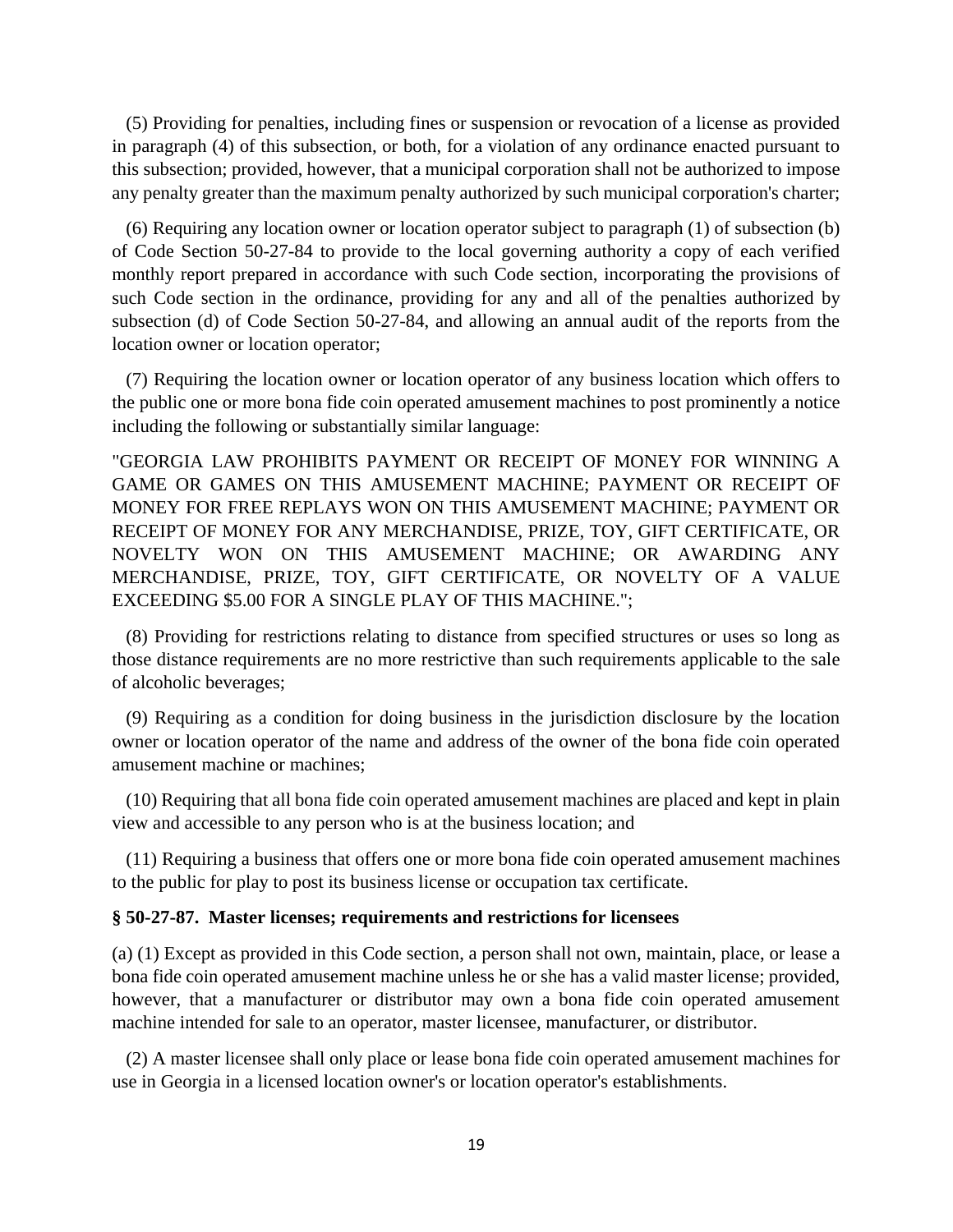(5) Providing for penalties, including fines or suspension or revocation of a license as provided in paragraph (4) of this subsection, or both, for a violation of any ordinance enacted pursuant to this subsection; provided, however, that a municipal corporation shall not be authorized to impose any penalty greater than the maximum penalty authorized by such municipal corporation's charter;

 (6) Requiring any location owner or location operator subject to paragraph (1) of subsection (b) of Code Section 50-27-84 to provide to the local governing authority a copy of each verified monthly report prepared in accordance with such Code section, incorporating the provisions of such Code section in the ordinance, providing for any and all of the penalties authorized by subsection (d) of Code Section 50-27-84, and allowing an annual audit of the reports from the location owner or location operator;

 (7) Requiring the location owner or location operator of any business location which offers to the public one or more bona fide coin operated amusement machines to post prominently a notice including the following or substantially similar language:

"GEORGIA LAW PROHIBITS PAYMENT OR RECEIPT OF MONEY FOR WINNING A GAME OR GAMES ON THIS AMUSEMENT MACHINE; PAYMENT OR RECEIPT OF MONEY FOR FREE REPLAYS WON ON THIS AMUSEMENT MACHINE; PAYMENT OR RECEIPT OF MONEY FOR ANY MERCHANDISE, PRIZE, TOY, GIFT CERTIFICATE, OR NOVELTY WON ON THIS AMUSEMENT MACHINE; OR AWARDING ANY MERCHANDISE, PRIZE, TOY, GIFT CERTIFICATE, OR NOVELTY OF A VALUE EXCEEDING \$5.00 FOR A SINGLE PLAY OF THIS MACHINE.";

 (8) Providing for restrictions relating to distance from specified structures or uses so long as those distance requirements are no more restrictive than such requirements applicable to the sale of alcoholic beverages;

 (9) Requiring as a condition for doing business in the jurisdiction disclosure by the location owner or location operator of the name and address of the owner of the bona fide coin operated amusement machine or machines;

 (10) Requiring that all bona fide coin operated amusement machines are placed and kept in plain view and accessible to any person who is at the business location; and

 (11) Requiring a business that offers one or more bona fide coin operated amusement machines to the public for play to post its business license or occupation tax certificate.

#### **§ 50-27-87. Master licenses; requirements and restrictions for licensees**

(a) (1) Except as provided in this Code section, a person shall not own, maintain, place, or lease a bona fide coin operated amusement machine unless he or she has a valid master license; provided, however, that a manufacturer or distributor may own a bona fide coin operated amusement machine intended for sale to an operator, master licensee, manufacturer, or distributor.

 (2) A master licensee shall only place or lease bona fide coin operated amusement machines for use in Georgia in a licensed location owner's or location operator's establishments.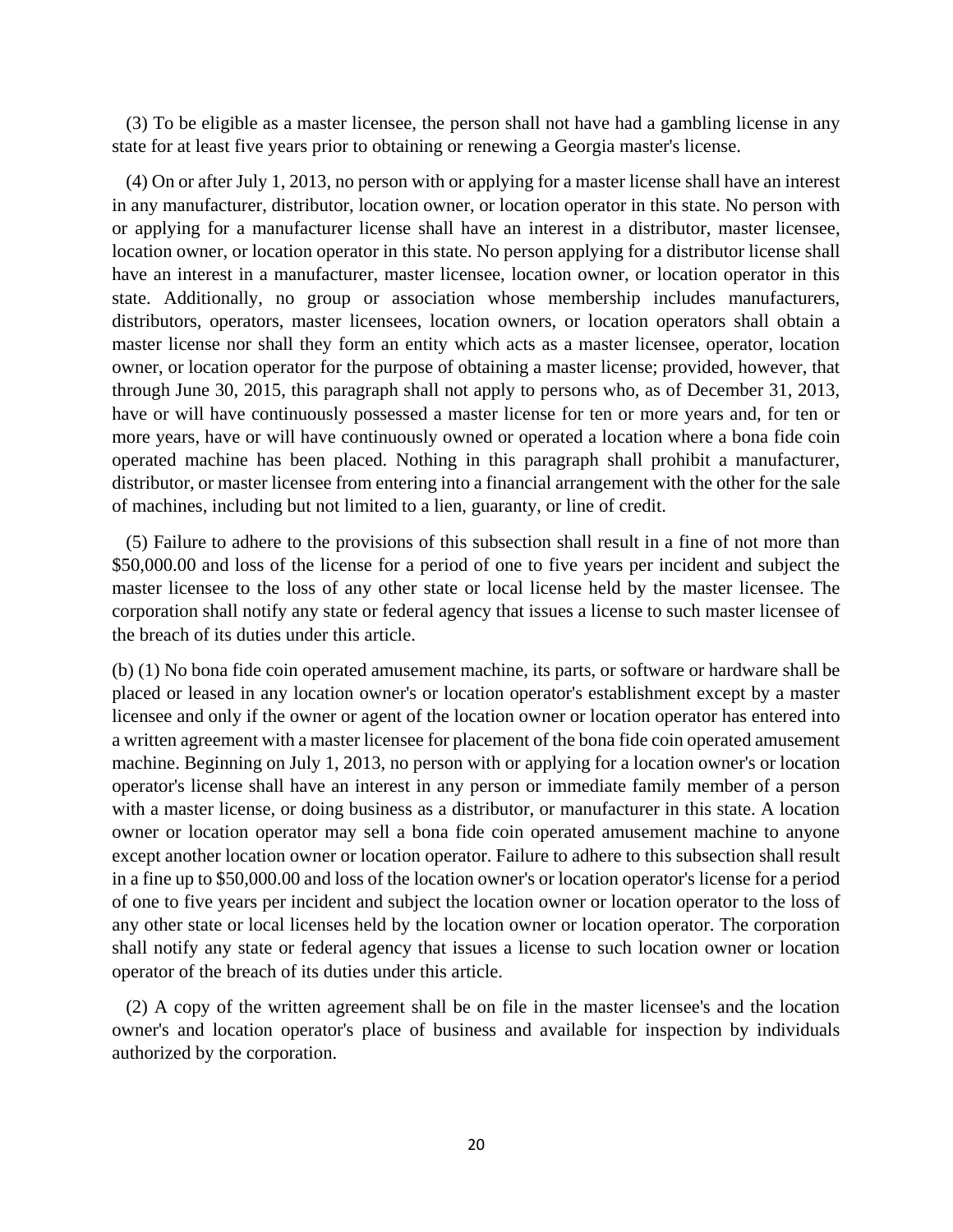(3) To be eligible as a master licensee, the person shall not have had a gambling license in any state for at least five years prior to obtaining or renewing a Georgia master's license.

 (4) On or after July 1, 2013, no person with or applying for a master license shall have an interest in any manufacturer, distributor, location owner, or location operator in this state. No person with or applying for a manufacturer license shall have an interest in a distributor, master licensee, location owner, or location operator in this state. No person applying for a distributor license shall have an interest in a manufacturer, master licensee, location owner, or location operator in this state. Additionally, no group or association whose membership includes manufacturers, distributors, operators, master licensees, location owners, or location operators shall obtain a master license nor shall they form an entity which acts as a master licensee, operator, location owner, or location operator for the purpose of obtaining a master license; provided, however, that through June 30, 2015, this paragraph shall not apply to persons who, as of December 31, 2013, have or will have continuously possessed a master license for ten or more years and, for ten or more years, have or will have continuously owned or operated a location where a bona fide coin operated machine has been placed. Nothing in this paragraph shall prohibit a manufacturer, distributor, or master licensee from entering into a financial arrangement with the other for the sale of machines, including but not limited to a lien, guaranty, or line of credit.

 (5) Failure to adhere to the provisions of this subsection shall result in a fine of not more than \$50,000.00 and loss of the license for a period of one to five years per incident and subject the master licensee to the loss of any other state or local license held by the master licensee. The corporation shall notify any state or federal agency that issues a license to such master licensee of the breach of its duties under this article.

(b) (1) No bona fide coin operated amusement machine, its parts, or software or hardware shall be placed or leased in any location owner's or location operator's establishment except by a master licensee and only if the owner or agent of the location owner or location operator has entered into a written agreement with a master licensee for placement of the bona fide coin operated amusement machine. Beginning on July 1, 2013, no person with or applying for a location owner's or location operator's license shall have an interest in any person or immediate family member of a person with a master license, or doing business as a distributor, or manufacturer in this state. A location owner or location operator may sell a bona fide coin operated amusement machine to anyone except another location owner or location operator. Failure to adhere to this subsection shall result in a fine up to \$50,000.00 and loss of the location owner's or location operator's license for a period of one to five years per incident and subject the location owner or location operator to the loss of any other state or local licenses held by the location owner or location operator. The corporation shall notify any state or federal agency that issues a license to such location owner or location operator of the breach of its duties under this article.

 (2) A copy of the written agreement shall be on file in the master licensee's and the location owner's and location operator's place of business and available for inspection by individuals authorized by the corporation.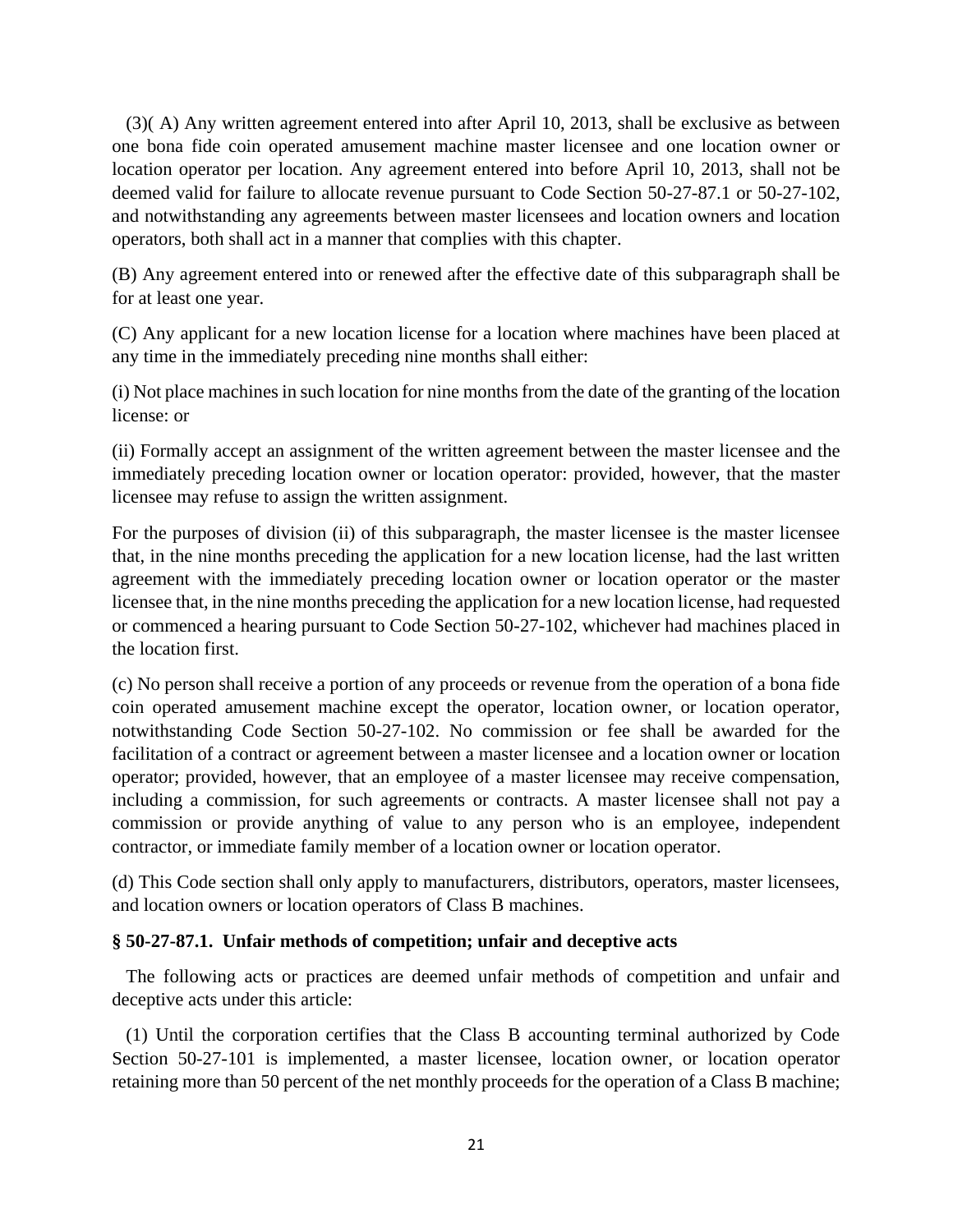(3)( A) Any written agreement entered into after April 10, 2013, shall be exclusive as between one bona fide coin operated amusement machine master licensee and one location owner or location operator per location. Any agreement entered into before April 10, 2013, shall not be deemed valid for failure to allocate revenue pursuant to Code Section 50-27-87.1 or 50-27-102, and notwithstanding any agreements between master licensees and location owners and location operators, both shall act in a manner that complies with this chapter.

(B) Any agreement entered into or renewed after the effective date of this subparagraph shall be for at least one year.

(C) Any applicant for a new location license for a location where machines have been placed at any time in the immediately preceding nine months shall either:

(i) Not place machines in such location for nine months from the date of the granting of the location license: or

(ii) Formally accept an assignment of the written agreement between the master licensee and the immediately preceding location owner or location operator: provided, however, that the master licensee may refuse to assign the written assignment.

For the purposes of division (ii) of this subparagraph, the master licensee is the master licensee that, in the nine months preceding the application for a new location license, had the last written agreement with the immediately preceding location owner or location operator or the master licensee that, in the nine months preceding the application for a new location license, had requested or commenced a hearing pursuant to Code Section 50-27-102, whichever had machines placed in the location first.

(c) No person shall receive a portion of any proceeds or revenue from the operation of a bona fide coin operated amusement machine except the operator, location owner, or location operator, notwithstanding Code Section 50-27-102. No commission or fee shall be awarded for the facilitation of a contract or agreement between a master licensee and a location owner or location operator; provided, however, that an employee of a master licensee may receive compensation, including a commission, for such agreements or contracts. A master licensee shall not pay a commission or provide anything of value to any person who is an employee, independent contractor, or immediate family member of a location owner or location operator.

(d) This Code section shall only apply to manufacturers, distributors, operators, master licensees, and location owners or location operators of Class B machines.

# **§ 50-27-87.1. Unfair methods of competition; unfair and deceptive acts**

 The following acts or practices are deemed unfair methods of competition and unfair and deceptive acts under this article:

 (1) Until the corporation certifies that the Class B accounting terminal authorized by Code Section 50-27-101 is implemented, a master licensee, location owner, or location operator retaining more than 50 percent of the net monthly proceeds for the operation of a Class B machine;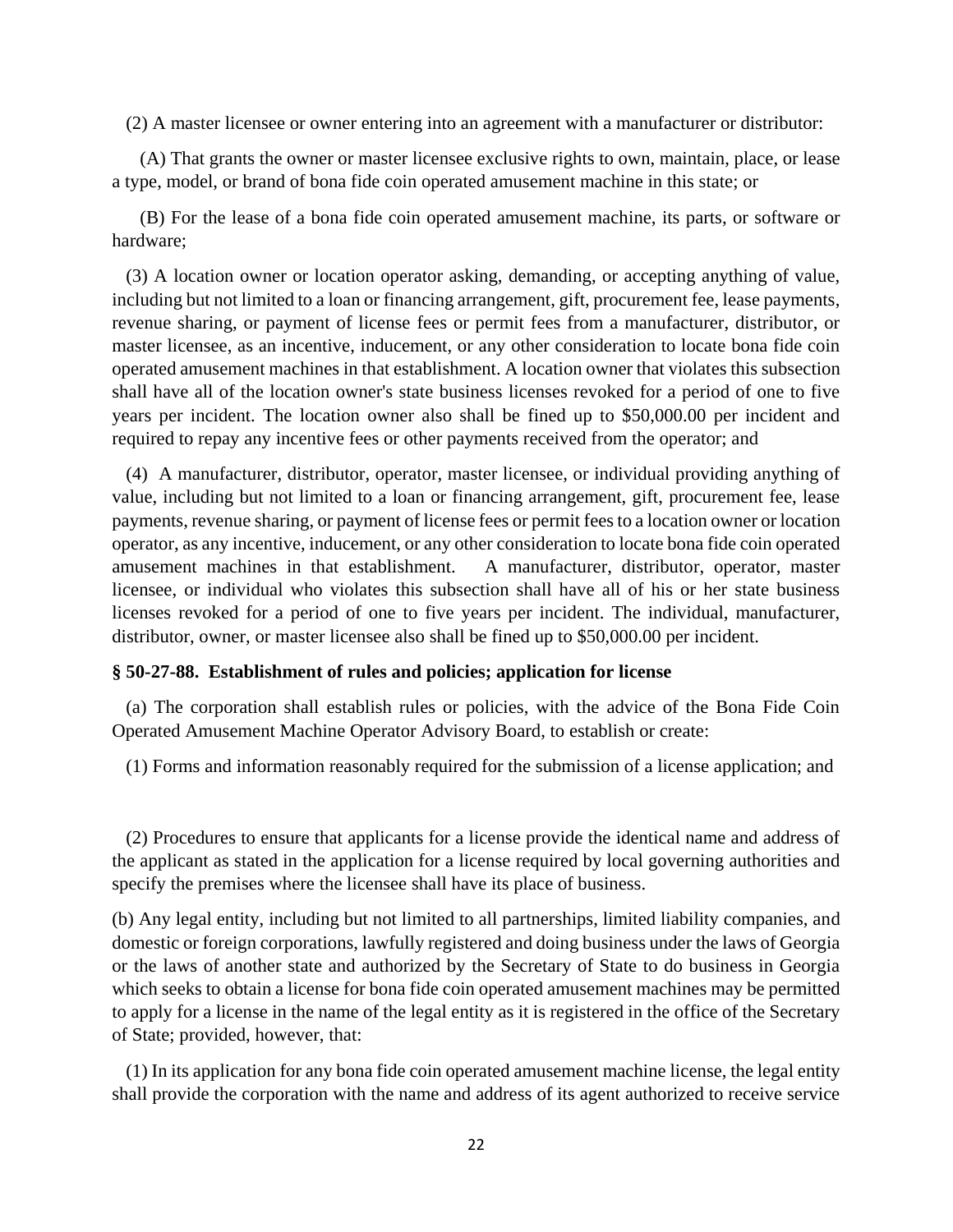(2) A master licensee or owner entering into an agreement with a manufacturer or distributor:

 (A) That grants the owner or master licensee exclusive rights to own, maintain, place, or lease a type, model, or brand of bona fide coin operated amusement machine in this state; or

 (B) For the lease of a bona fide coin operated amusement machine, its parts, or software or hardware;

 (3) A location owner or location operator asking, demanding, or accepting anything of value, including but not limited to a loan or financing arrangement, gift, procurement fee, lease payments, revenue sharing, or payment of license fees or permit fees from a manufacturer, distributor, or master licensee, as an incentive, inducement, or any other consideration to locate bona fide coin operated amusement machines in that establishment. A location owner that violates this subsection shall have all of the location owner's state business licenses revoked for a period of one to five years per incident. The location owner also shall be fined up to \$50,000.00 per incident and required to repay any incentive fees or other payments received from the operator; and

 (4) A manufacturer, distributor, operator, master licensee, or individual providing anything of value, including but not limited to a loan or financing arrangement, gift, procurement fee, lease payments, revenue sharing, or payment of license fees or permit fees to a location owner or location operator, as any incentive, inducement, or any other consideration to locate bona fide coin operated amusement machines in that establishment. A manufacturer, distributor, operator, master licensee, or individual who violates this subsection shall have all of his or her state business licenses revoked for a period of one to five years per incident. The individual, manufacturer, distributor, owner, or master licensee also shall be fined up to \$50,000.00 per incident.

## **§ 50-27-88. Establishment of rules and policies; application for license**

 (a) The corporation shall establish rules or policies, with the advice of the Bona Fide Coin Operated Amusement Machine Operator Advisory Board, to establish or create:

(1) Forms and information reasonably required for the submission of a license application; and

 (2) Procedures to ensure that applicants for a license provide the identical name and address of the applicant as stated in the application for a license required by local governing authorities and specify the premises where the licensee shall have its place of business.

(b) Any legal entity, including but not limited to all partnerships, limited liability companies, and domestic or foreign corporations, lawfully registered and doing business under the laws of Georgia or the laws of another state and authorized by the Secretary of State to do business in Georgia which seeks to obtain a license for bona fide coin operated amusement machines may be permitted to apply for a license in the name of the legal entity as it is registered in the office of the Secretary of State; provided, however, that:

 (1) In its application for any bona fide coin operated amusement machine license, the legal entity shall provide the corporation with the name and address of its agent authorized to receive service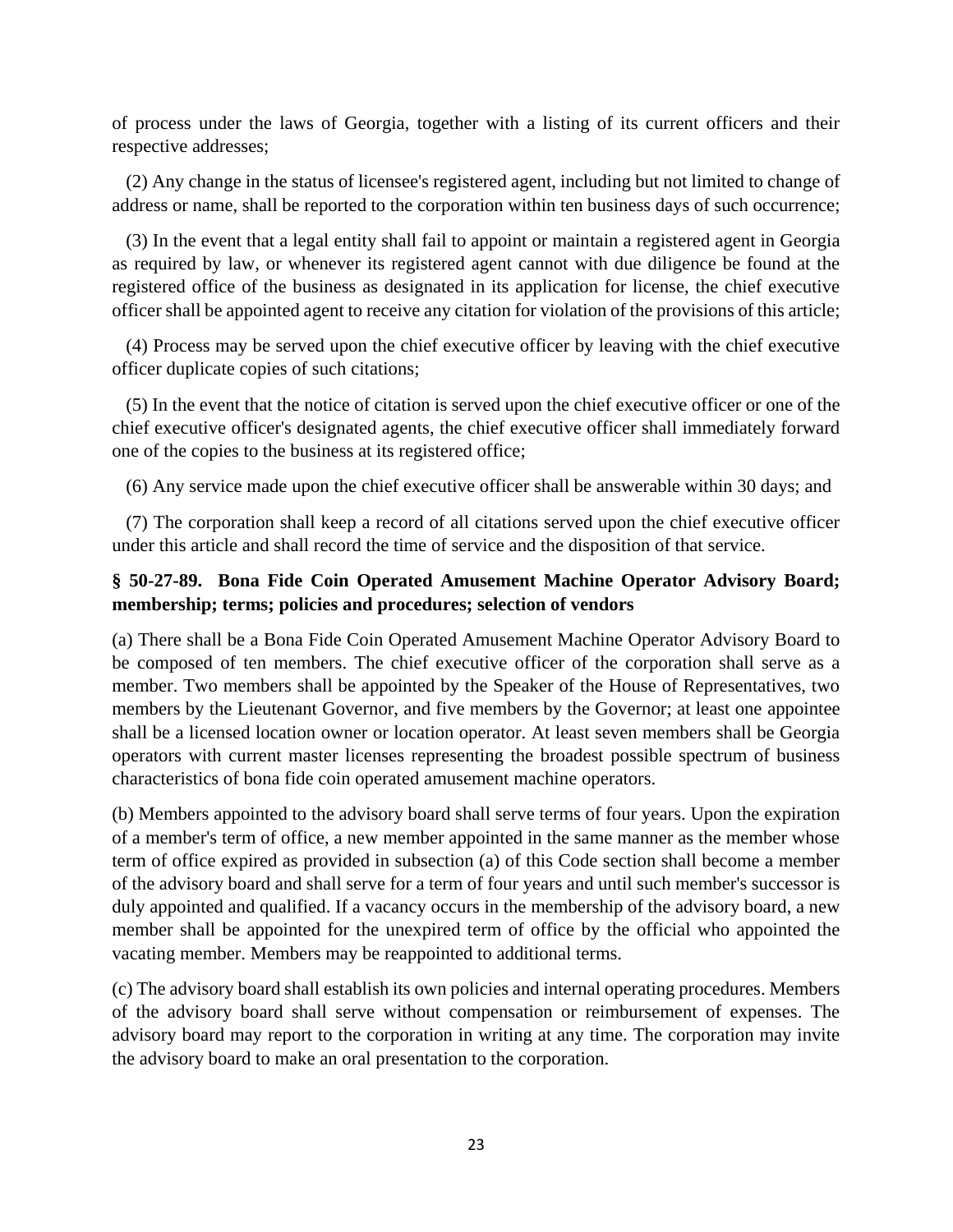of process under the laws of Georgia, together with a listing of its current officers and their respective addresses;

 (2) Any change in the status of licensee's registered agent, including but not limited to change of address or name, shall be reported to the corporation within ten business days of such occurrence;

 (3) In the event that a legal entity shall fail to appoint or maintain a registered agent in Georgia as required by law, or whenever its registered agent cannot with due diligence be found at the registered office of the business as designated in its application for license, the chief executive officer shall be appointed agent to receive any citation for violation of the provisions of this article;

 (4) Process may be served upon the chief executive officer by leaving with the chief executive officer duplicate copies of such citations;

 (5) In the event that the notice of citation is served upon the chief executive officer or one of the chief executive officer's designated agents, the chief executive officer shall immediately forward one of the copies to the business at its registered office;

(6) Any service made upon the chief executive officer shall be answerable within 30 days; and

 (7) The corporation shall keep a record of all citations served upon the chief executive officer under this article and shall record the time of service and the disposition of that service.

# **§ 50-27-89. Bona Fide Coin Operated Amusement Machine Operator Advisory Board; membership; terms; policies and procedures; selection of vendors**

(a) There shall be a Bona Fide Coin Operated Amusement Machine Operator Advisory Board to be composed of ten members. The chief executive officer of the corporation shall serve as a member. Two members shall be appointed by the Speaker of the House of Representatives, two members by the Lieutenant Governor, and five members by the Governor; at least one appointee shall be a licensed location owner or location operator. At least seven members shall be Georgia operators with current master licenses representing the broadest possible spectrum of business characteristics of bona fide coin operated amusement machine operators.

(b) Members appointed to the advisory board shall serve terms of four years. Upon the expiration of a member's term of office, a new member appointed in the same manner as the member whose term of office expired as provided in subsection (a) of this Code section shall become a member of the advisory board and shall serve for a term of four years and until such member's successor is duly appointed and qualified. If a vacancy occurs in the membership of the advisory board, a new member shall be appointed for the unexpired term of office by the official who appointed the vacating member. Members may be reappointed to additional terms.

(c) The advisory board shall establish its own policies and internal operating procedures. Members of the advisory board shall serve without compensation or reimbursement of expenses. The advisory board may report to the corporation in writing at any time. The corporation may invite the advisory board to make an oral presentation to the corporation.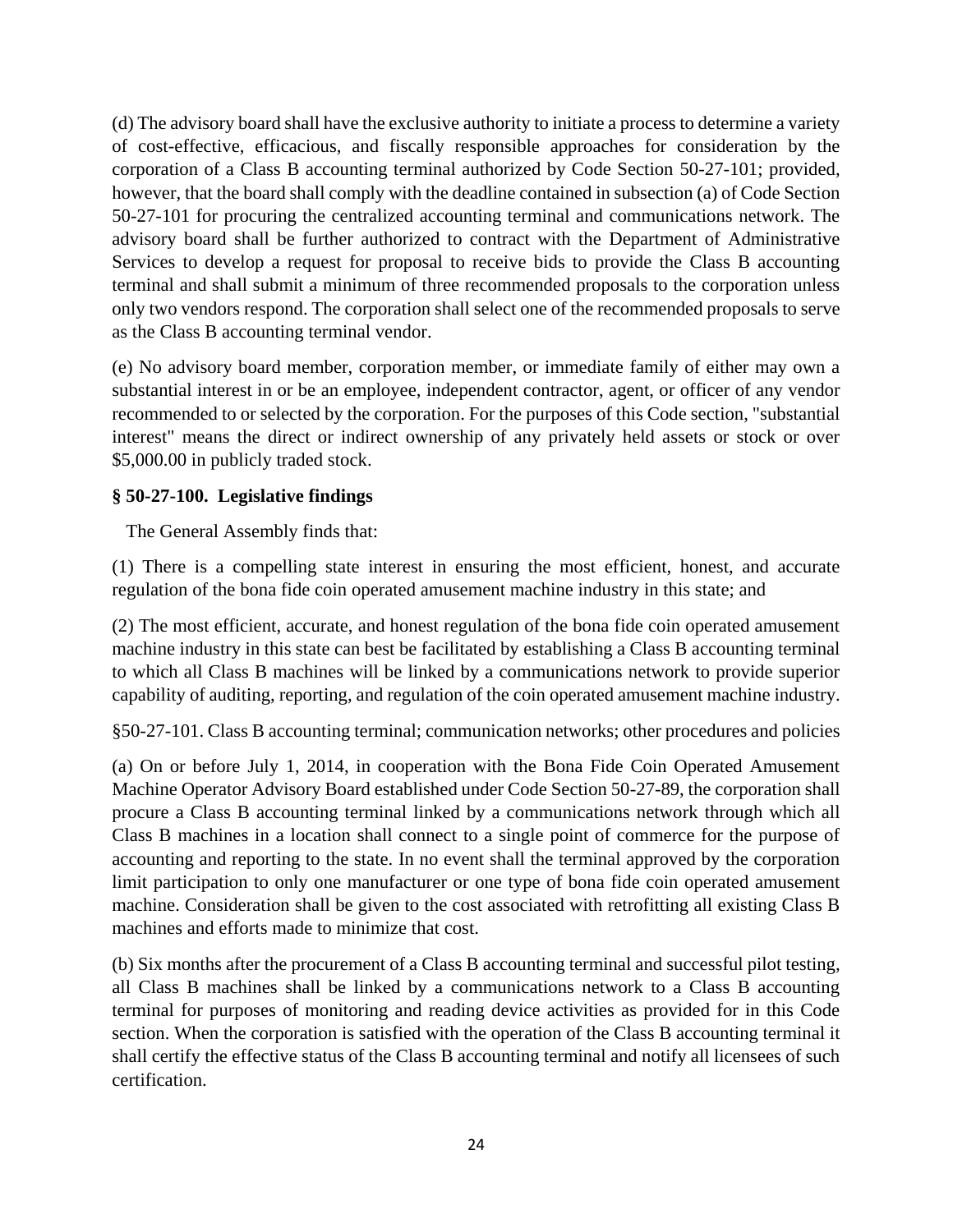(d) The advisory board shall have the exclusive authority to initiate a process to determine a variety of cost-effective, efficacious, and fiscally responsible approaches for consideration by the corporation of a Class B accounting terminal authorized by Code Section 50-27-101; provided, however, that the board shall comply with the deadline contained in subsection (a) of Code Section 50-27-101 for procuring the centralized accounting terminal and communications network. The advisory board shall be further authorized to contract with the Department of Administrative Services to develop a request for proposal to receive bids to provide the Class B accounting terminal and shall submit a minimum of three recommended proposals to the corporation unless only two vendors respond. The corporation shall select one of the recommended proposals to serve as the Class B accounting terminal vendor.

(e) No advisory board member, corporation member, or immediate family of either may own a substantial interest in or be an employee, independent contractor, agent, or officer of any vendor recommended to or selected by the corporation. For the purposes of this Code section, "substantial interest" means the direct or indirect ownership of any privately held assets or stock or over \$5,000.00 in publicly traded stock.

# **§ 50-27-100. Legislative findings**

The General Assembly finds that:

(1) There is a compelling state interest in ensuring the most efficient, honest, and accurate regulation of the bona fide coin operated amusement machine industry in this state; and

(2) The most efficient, accurate, and honest regulation of the bona fide coin operated amusement machine industry in this state can best be facilitated by establishing a Class B accounting terminal to which all Class B machines will be linked by a communications network to provide superior capability of auditing, reporting, and regulation of the coin operated amusement machine industry.

§50-27-101. Class B accounting terminal; communication networks; other procedures and policies

(a) On or before July 1, 2014, in cooperation with the Bona Fide Coin Operated Amusement Machine Operator Advisory Board established under Code Section 50-27-89, the corporation shall procure a Class B accounting terminal linked by a communications network through which all Class B machines in a location shall connect to a single point of commerce for the purpose of accounting and reporting to the state. In no event shall the terminal approved by the corporation limit participation to only one manufacturer or one type of bona fide coin operated amusement machine. Consideration shall be given to the cost associated with retrofitting all existing Class B machines and efforts made to minimize that cost.

(b) Six months after the procurement of a Class B accounting terminal and successful pilot testing, all Class B machines shall be linked by a communications network to a Class B accounting terminal for purposes of monitoring and reading device activities as provided for in this Code section. When the corporation is satisfied with the operation of the Class B accounting terminal it shall certify the effective status of the Class B accounting terminal and notify all licensees of such certification.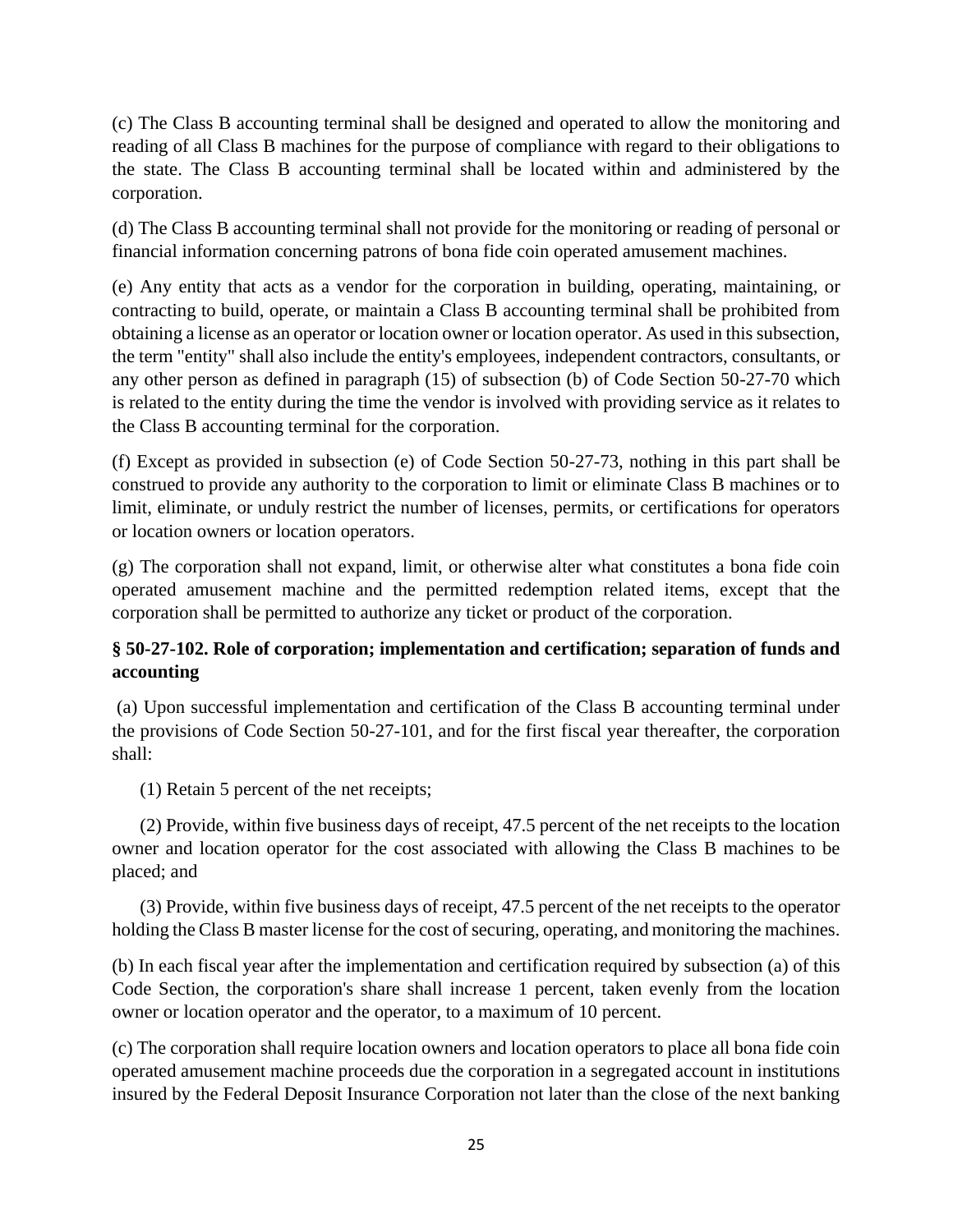(c) The Class B accounting terminal shall be designed and operated to allow the monitoring and reading of all Class B machines for the purpose of compliance with regard to their obligations to the state. The Class B accounting terminal shall be located within and administered by the corporation.

(d) The Class B accounting terminal shall not provide for the monitoring or reading of personal or financial information concerning patrons of bona fide coin operated amusement machines.

(e) Any entity that acts as a vendor for the corporation in building, operating, maintaining, or contracting to build, operate, or maintain a Class B accounting terminal shall be prohibited from obtaining a license as an operator or location owner or location operator. As used in this subsection, the term "entity" shall also include the entity's employees, independent contractors, consultants, or any other person as defined in paragraph (15) of subsection (b) of Code Section 50-27-70 which is related to the entity during the time the vendor is involved with providing service as it relates to the Class B accounting terminal for the corporation.

(f) Except as provided in subsection (e) of Code Section 50-27-73, nothing in this part shall be construed to provide any authority to the corporation to limit or eliminate Class B machines or to limit, eliminate, or unduly restrict the number of licenses, permits, or certifications for operators or location owners or location operators.

(g) The corporation shall not expand, limit, or otherwise alter what constitutes a bona fide coin operated amusement machine and the permitted redemption related items, except that the corporation shall be permitted to authorize any ticket or product of the corporation.

# **§ 50-27-102. Role of corporation; implementation and certification; separation of funds and accounting**

(a) Upon successful implementation and certification of the Class B accounting terminal under the provisions of Code Section 50-27-101, and for the first fiscal year thereafter, the corporation shall:

(1) Retain 5 percent of the net receipts;

(2) Provide, within five business days of receipt, 47.5 percent of the net receipts to the location owner and location operator for the cost associated with allowing the Class B machines to be placed; and

(3) Provide, within five business days of receipt, 47.5 percent of the net receipts to the operator holding the Class B master license for the cost of securing, operating, and monitoring the machines.

(b) In each fiscal year after the implementation and certification required by subsection (a) of this Code Section, the corporation's share shall increase 1 percent, taken evenly from the location owner or location operator and the operator, to a maximum of 10 percent.

(c) The corporation shall require location owners and location operators to place all bona fide coin operated amusement machine proceeds due the corporation in a segregated account in institutions insured by the Federal Deposit Insurance Corporation not later than the close of the next banking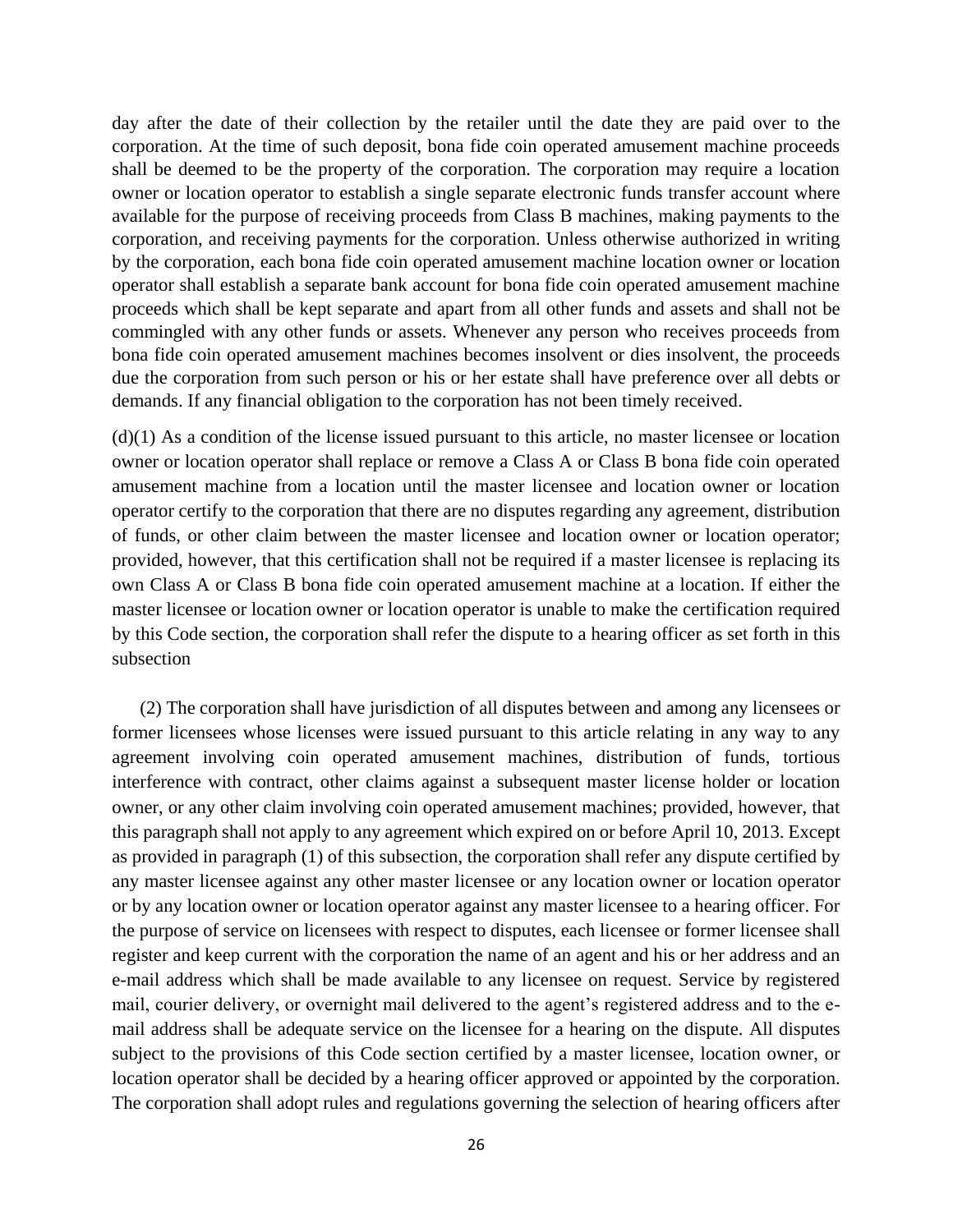day after the date of their collection by the retailer until the date they are paid over to the corporation. At the time of such deposit, bona fide coin operated amusement machine proceeds shall be deemed to be the property of the corporation. The corporation may require a location owner or location operator to establish a single separate electronic funds transfer account where available for the purpose of receiving proceeds from Class B machines, making payments to the corporation, and receiving payments for the corporation. Unless otherwise authorized in writing by the corporation, each bona fide coin operated amusement machine location owner or location operator shall establish a separate bank account for bona fide coin operated amusement machine proceeds which shall be kept separate and apart from all other funds and assets and shall not be commingled with any other funds or assets. Whenever any person who receives proceeds from bona fide coin operated amusement machines becomes insolvent or dies insolvent, the proceeds due the corporation from such person or his or her estate shall have preference over all debts or demands. If any financial obligation to the corporation has not been timely received.

 $(d)(1)$  As a condition of the license issued pursuant to this article, no master licensee or location owner or location operator shall replace or remove a Class A or Class B bona fide coin operated amusement machine from a location until the master licensee and location owner or location operator certify to the corporation that there are no disputes regarding any agreement, distribution of funds, or other claim between the master licensee and location owner or location operator; provided, however, that this certification shall not be required if a master licensee is replacing its own Class A or Class B bona fide coin operated amusement machine at a location. If either the master licensee or location owner or location operator is unable to make the certification required by this Code section, the corporation shall refer the dispute to a hearing officer as set forth in this subsection

(2) The corporation shall have jurisdiction of all disputes between and among any licensees or former licensees whose licenses were issued pursuant to this article relating in any way to any agreement involving coin operated amusement machines, distribution of funds, tortious interference with contract, other claims against a subsequent master license holder or location owner, or any other claim involving coin operated amusement machines; provided, however, that this paragraph shall not apply to any agreement which expired on or before April 10, 2013. Except as provided in paragraph (1) of this subsection, the corporation shall refer any dispute certified by any master licensee against any other master licensee or any location owner or location operator or by any location owner or location operator against any master licensee to a hearing officer. For the purpose of service on licensees with respect to disputes, each licensee or former licensee shall register and keep current with the corporation the name of an agent and his or her address and an e-mail address which shall be made available to any licensee on request. Service by registered mail, courier delivery, or overnight mail delivered to the agent's registered address and to the email address shall be adequate service on the licensee for a hearing on the dispute. All disputes subject to the provisions of this Code section certified by a master licensee, location owner, or location operator shall be decided by a hearing officer approved or appointed by the corporation. The corporation shall adopt rules and regulations governing the selection of hearing officers after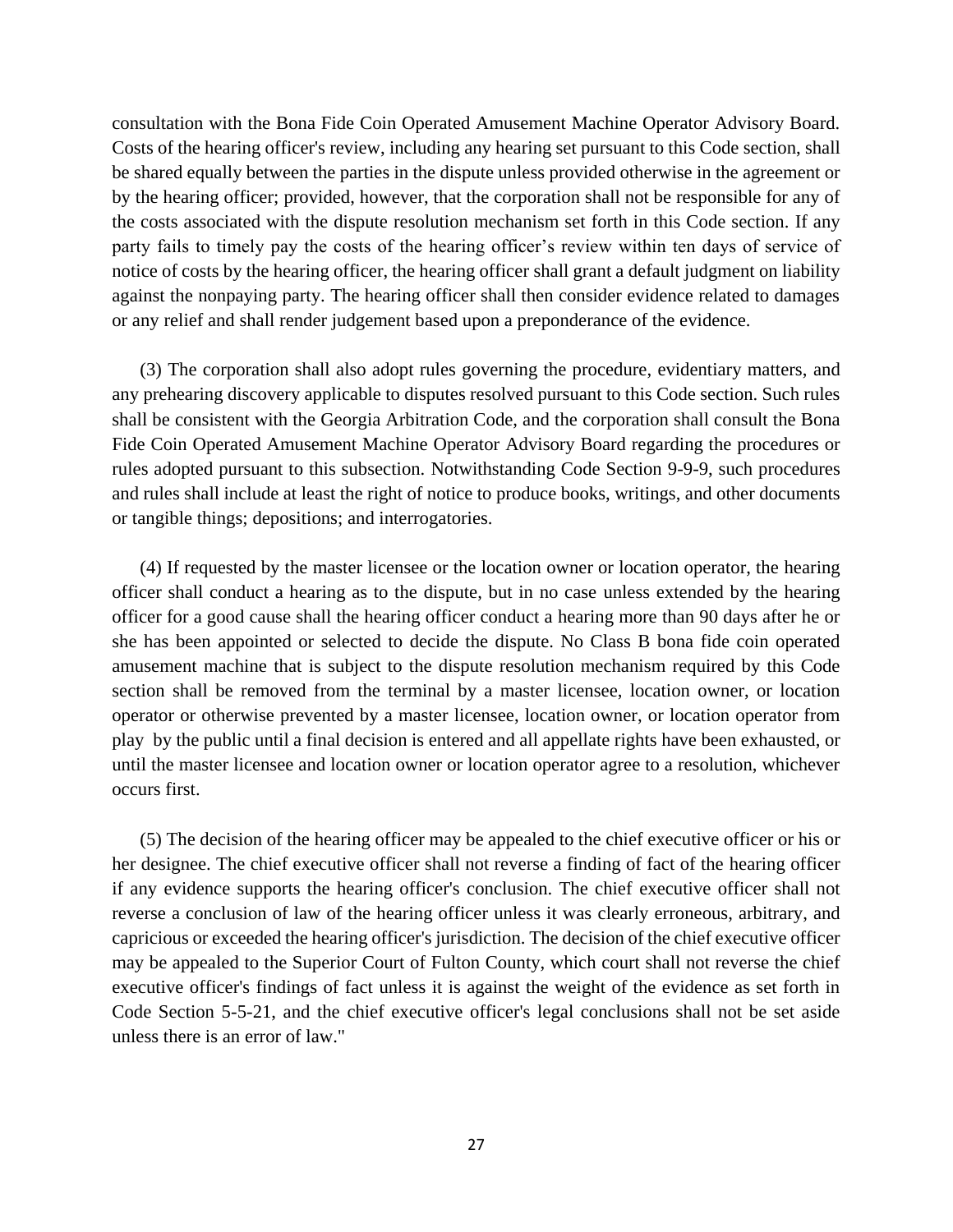consultation with the Bona Fide Coin Operated Amusement Machine Operator Advisory Board. Costs of the hearing officer's review, including any hearing set pursuant to this Code section, shall be shared equally between the parties in the dispute unless provided otherwise in the agreement or by the hearing officer; provided, however, that the corporation shall not be responsible for any of the costs associated with the dispute resolution mechanism set forth in this Code section. If any party fails to timely pay the costs of the hearing officer's review within ten days of service of notice of costs by the hearing officer, the hearing officer shall grant a default judgment on liability against the nonpaying party. The hearing officer shall then consider evidence related to damages or any relief and shall render judgement based upon a preponderance of the evidence.

(3) The corporation shall also adopt rules governing the procedure, evidentiary matters, and any prehearing discovery applicable to disputes resolved pursuant to this Code section. Such rules shall be consistent with the Georgia Arbitration Code, and the corporation shall consult the Bona Fide Coin Operated Amusement Machine Operator Advisory Board regarding the procedures or rules adopted pursuant to this subsection. Notwithstanding Code Section 9-9-9, such procedures and rules shall include at least the right of notice to produce books, writings, and other documents or tangible things; depositions; and interrogatories.

(4) If requested by the master licensee or the location owner or location operator, the hearing officer shall conduct a hearing as to the dispute, but in no case unless extended by the hearing officer for a good cause shall the hearing officer conduct a hearing more than 90 days after he or she has been appointed or selected to decide the dispute. No Class B bona fide coin operated amusement machine that is subject to the dispute resolution mechanism required by this Code section shall be removed from the terminal by a master licensee, location owner, or location operator or otherwise prevented by a master licensee, location owner, or location operator from play by the public until a final decision is entered and all appellate rights have been exhausted, or until the master licensee and location owner or location operator agree to a resolution, whichever occurs first.

(5) The decision of the hearing officer may be appealed to the chief executive officer or his or her designee. The chief executive officer shall not reverse a finding of fact of the hearing officer if any evidence supports the hearing officer's conclusion. The chief executive officer shall not reverse a conclusion of law of the hearing officer unless it was clearly erroneous, arbitrary, and capricious or exceeded the hearing officer's jurisdiction. The decision of the chief executive officer may be appealed to the Superior Court of Fulton County, which court shall not reverse the chief executive officer's findings of fact unless it is against the weight of the evidence as set forth in Code Section 5-5-21, and the chief executive officer's legal conclusions shall not be set aside unless there is an error of law."